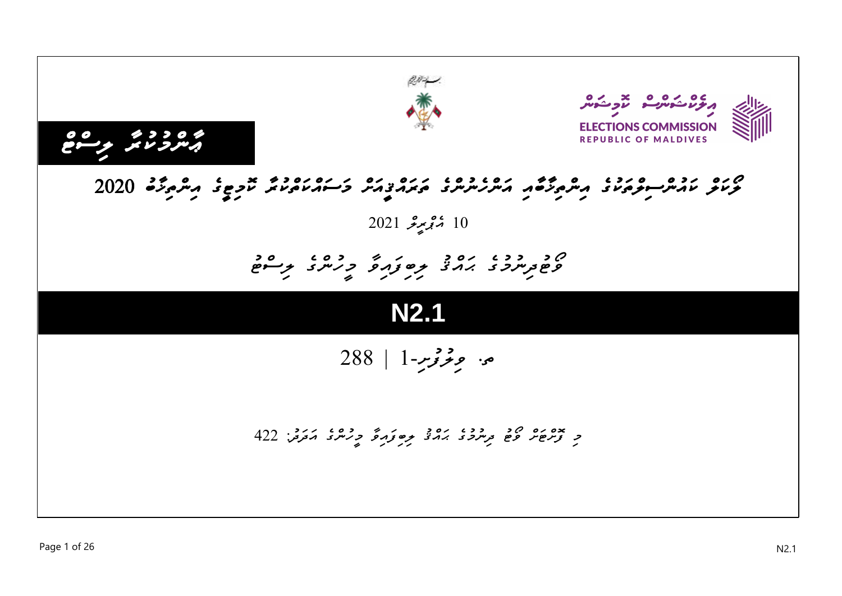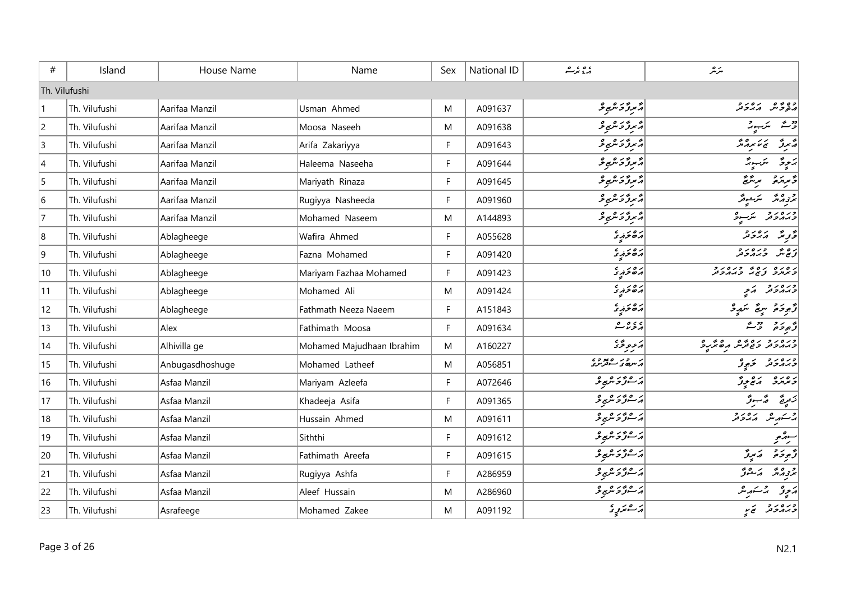| #                        | Island        | House Name      | Name                      | Sex | National ID | ، ه ، بر <u>م</u>                          | بىر ھ                            |
|--------------------------|---------------|-----------------|---------------------------|-----|-------------|--------------------------------------------|----------------------------------|
|                          | Th. Vilufushi |                 |                           |     |             |                                            |                                  |
| 1                        | Th. Vilufushi | Aarifaa Manzil  | Usman Ahmed               | M   | A091637     | ۇ برۇ ئەندى <sub>م</sub> ۇ                 | وه ده ده دو                      |
| $\overline{2}$           | Th. Vilufushi | Aarifaa Manzil  | Moosa Naseeh              | M   | A091638     | ئەبرۇ ئەش <sub>كى</sub> رى                 | جو سے مسلم میں میرے<br>          |
| 3                        | Th. Vilufushi | Aarifaa Manzil  | Arifa Zakariyya           | F   | A091643     | ۇ <i>برۇ ئە</i> شمى ب                      | ومجرق تم معرور                   |
| $\overline{\mathcal{L}}$ | Th. Vilufushi | Aarifaa Manzil  | Haleema Naseeha           | F   | A091644     | ۇ برۇ ئەش <sub>كى</sub> ر                  | <i>ړُوٍوَ ترَبېدُ</i>            |
| 5                        | Th. Vilufushi | Aarifaa Manzil  | Mariyath Rinaza           | F   | A091645     | <br>  ئەبرۇ ئەنگى <sub>م</sub> ى           | ۇ برېزۇ بېرىترى                  |
| 6                        | Th. Vilufushi | Aarifaa Manzil  | Rugiyya Nasheeda          | F   | A091960     | ۇ <i>برۇ دى</i> مبر ئ                      | برتوره كرشيقر                    |
| $\overline{7}$           | Th. Vilufushi | Aarifaa Manzil  | Mohamed Naseem            | M   | A144893     | ۇ برۇ ئەندى <sub>م</sub> ئە                | ورەرو شەر                        |
| $\overline{8}$           | Th. Vilufushi | Ablagheege      | Wafira Ahmed              | F   | A055628     | رە دۇر ئ                                   | ۇربۇ مەددىر                      |
| $ 9\rangle$              | Th. Vilufushi | Ablagheege      | Fazna Mohamed             | F   | A091420     | رە ئەزىر<br>مەھىرى <sub>س</sub> ى          | ره شهر در د                      |
| 10                       | Th. Vilufushi | Ablagheege      | Mariyam Fazhaa Mohamed    | F   | A091423     | رە ر<br>مەخ ئ <sub>ىر</sub> ى              | נסנס נסי כנסנכ<br>כמחב צאז בגהבת |
| 11                       | Th. Vilufushi | Ablagheege      | Mohamed Ali               | M   | A091424     | رە دۇر ئ                                   | دره دو کرم                       |
| 12                       | Th. Vilufushi | Ablagheege      | Fathmath Neeza Naeem      | F   | A151843     | رەر<br>مەخ ئەر                             | توجوجة سنة سَمِيرة               |
| $ 13\rangle$             | Th. Vilufushi | Alex            | Fathimath Moosa           | F   | A091634     | ې ده ده<br>مرکز <i>م</i> ش                 | و ده دره ب                       |
| 14                       | Th. Vilufushi | Alhivilla ge    | Mohamed Majudhaan Ibrahim | M   | A160227     | ر<br>د د د د د د                           | ورەرو رەپرە مەئرو                |
| 15                       | Th. Vilufushi | Anbugasdhoshuge | Mohamed Latheef           | M   | A056851     | ر سرچ ر ه پو د پ<br>پرسرچي سستوسري         | ورورو كبور                       |
| 16                       | Th. Vilufushi | Asfaa Manzil    | Mariyam Azleefa           | F   | A072646     | ىر 2 <i>مۇ خەنتى</i> بۇ                    | د ەرە بەھ دۇ                     |
| 17                       | Th. Vilufushi | Asfaa Manzil    | Khadeeja Asifa            | F   | A091365     | ىز س <sub>ى</sub> ۋىز ش <sub>ى</sub> بى ئى | تزمريح كمال بروگر                |
| 18                       | Th. Vilufushi | Asfaa Manzil    | Hussain Ahmed             | M   | A091611     | ىز س <sub>ى</sub> ۋىز ش <sub>ى</sub> بى ئى | جسكر شرور ورود                   |
| 19                       | Th. Vilufushi | Asfaa Manzil    | Siththi                   | F   | A091612     | ىز س <sub>ى</sub> ۋىز ش <sub>ى</sub> بى ئى | سودهو                            |
| 20                       | Th. Vilufushi | Asfaa Manzil    | Fathimath Areefa          | F   | A091615     | ىر مەمۇرىمىي بىر                           | وٌوِدَهُ مَبِروٌ                 |
| 21                       | Th. Vilufushi | Asfaa Manzil    | Rugiyya Ashfa             | F   | A286959     | ىز سىز ئەسىم بىر                           | برتوماته كالمشوش                 |
| 22                       | Th. Vilufushi | Asfaa Manzil    | Aleef Hussain             | M   | A286960     | ر مور و مربو د                             | ړېږو پر شهر شر                   |
| 23                       | Th. Vilufushi | Asrafeege       | Mohamed Zakee             | M   | A091192     | ىز س <sup>ە</sup> ئىزى <sub>ر</sub> ئ      | ورەروبر س                        |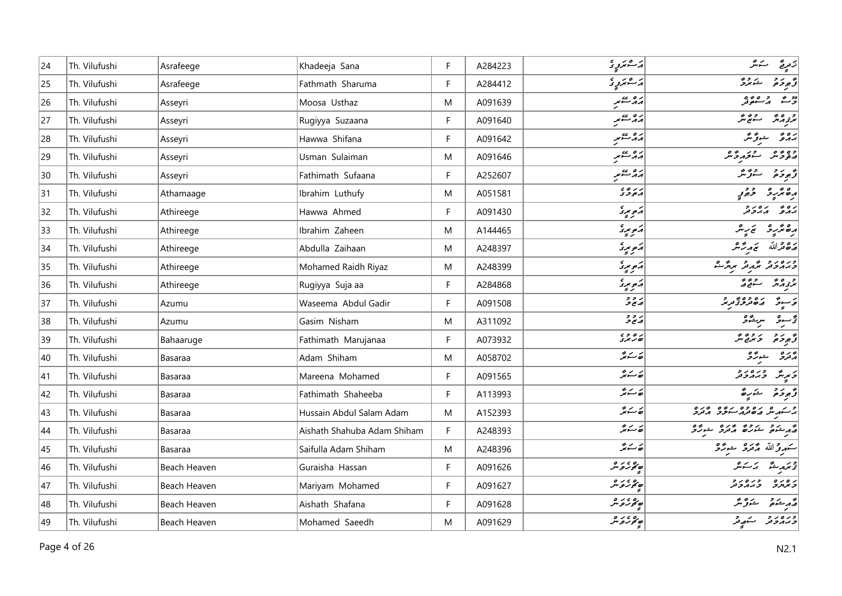| 24 | Th. Vilufushi | Asrafeege    | Khadeeja Sana               | F         | A284223 | لەسشىمرىي                     | ك <sup>ى</sup> مېڭىسىسىگىرىگە ئىستىكى كەشكەتلىكى كەشكەتلىكى كەشكەتلىكى كەشكەتلىكى كەشكەتلىكى بۇ كەشكەتلىكى كەشكەتلىكى بۇ<br>مەمۇرىي كەنتىكى كەشكەتلىكى كەشكەتلىكى كەشكەتلىكى كەشكەتلىكى كەنتى كەنتىكەت كەنتىكەت كەشكەتلىكى كەنتى كەنتىكەتل                                      |
|----|---------------|--------------|-----------------------------|-----------|---------|-------------------------------|---------------------------------------------------------------------------------------------------------------------------------------------------------------------------------------------------------------------------------------------------------------------------------|
| 25 | Th. Vilufushi | Asrafeege    | Fathmath Sharuma            | F         | A284412 | ىر شەنىزى <sub>ر</sub> ئ      | أوجوحه شورو                                                                                                                                                                                                                                                                     |
| 26 | Th. Vilufushi | Asseyri      | Moosa Usthaz                | M         | A091639 | لئەرىئىمىر                    | ود مع وه وه وه و                                                                                                                                                                                                                                                                |
| 27 | Th. Vilufushi | Asseyri      | Rugiyya Suzaana             | F         | A091640 | لئەرىئىمىر                    | تر <sub>ۇ</sub> مۇ سوپ <sub>ۇ</sub> سۇ                                                                                                                                                                                                                                          |
| 28 | Th. Vilufushi | Asseyri      | Hawwa Shifana               | F         | A091642 | لره يهمبر                     | رە بە ئىبۇ ئىر<br>بەر ئەر ئىس                                                                                                                                                                                                                                                   |
| 29 | Th. Vilufushi | Asseyri      | Usman Sulaiman              | ${\sf M}$ | A091646 | لره يهمر                      | وەم ئەر ئۇرۇش                                                                                                                                                                                                                                                                   |
| 30 | Th. Vilufushi | Asseyri      | Fathimath Sufaana           | F         | A252607 | لره يهمبر                     | ژ <sub>بوخو</sub> خۇنئر                                                                                                                                                                                                                                                         |
| 31 | Th. Vilufushi | Athamaage    | Ibrahim Luthufy             | M         | A051581 | ر ر د د<br>پره <del>د</del> د | أرە ئۆر ئىسىم                                                                                                                                                                                                                                                                   |
| 32 | Th. Vilufushi | Athireege    | Hawwa Ahmed                 | F         | A091430 | لأحومونكه                     | رەپ رەرد<br>پەرى مەرجىر                                                                                                                                                                                                                                                         |
| 33 | Th. Vilufushi | Athireege    | Ibrahim Zaheen              | ${\sf M}$ | A144465 | <br>  مەھوىيو ئە              | أرە ئۆر ئىس ئى                                                                                                                                                                                                                                                                  |
| 34 | Th. Vilufushi | Athireege    | Abdulla Zaihaan             | M         | A248397 | رسموسيرنج                     | برە دالله تم برگه                                                                                                                                                                                                                                                               |
| 35 | Th. Vilufushi | Athireege    | Mohamed Raidh Riyaz         | M         | A248399 | <br>  د حو مو د               | כנפנים האית תואים                                                                                                                                                                                                                                                               |
| 36 | Th. Vilufushi | Athireege    | Rugiyya Suja aa             | F         | A284868 | رسم میری                      | $\begin{array}{cc} \begin{array}{ccc} \mathbf{1} & \mathbf{1} & \mathbf{1} & \mathbf{1} \\ \mathbf{1} & \mathbf{1} & \mathbf{1} & \mathbf{1} \\ \mathbf{1} & \mathbf{1} & \mathbf{1} & \mathbf{1} \\ \mathbf{1} & \mathbf{1} & \mathbf{1} & \mathbf{1} \end{array} \end{array}$ |
| 37 | Th. Vilufushi | Azumu        | Waseema Abdul Gadir         | F         | A091508 | بر و و<br>پرسمي تر            | د سوځ ده ده وه پورځ<br>و سوځ د هغه د د تورند                                                                                                                                                                                                                                    |
| 38 | Th. Vilufushi | Azumu        | Gasim Nisham                | M         | A311092 | بر و و<br>پرسمي تر            | تۇسىرى سرىشكى<br>                                                                                                                                                                                                                                                               |
| 39 | Th. Vilufushi | Bahaaruge    | Fathimath Marujanaa         | F         | A073932 | ر پر و ،<br>ن <i>ن</i> تر د   | ومرد رودير                                                                                                                                                                                                                                                                      |
| 40 | Th. Vilufushi | Basaraa      | Adam Shiham                 | M         | A058702 | ە ئەبۇ                        | أردره بشورصي                                                                                                                                                                                                                                                                    |
| 41 | Th. Vilufushi | Basaraa      | Mareena Mohamed             | F         | A091565 | ەسەئەتر                       | كە ئەرەر ئەر                                                                                                                                                                                                                                                                    |
| 42 | Th. Vilufushi | Basaraa      | Fathimath Shaheeba          | F         | A113993 | ەسەئىر                        | وحودة يندرة                                                                                                                                                                                                                                                                     |
| 43 | Th. Vilufushi | Basaraa      | Hussain Abdul Salam Adam    | M         | A152393 | ەسەئىر                        |                                                                                                                                                                                                                                                                                 |
| 44 | Th. Vilufushi | Basaraa      | Aishath Shahuba Adam Shiham | F         | A248393 | ەئەيىتە                       | د.<br>د د خوم خوره د ترو خوره                                                                                                                                                                                                                                                   |
| 45 | Th. Vilufushi | Basaraa      | Saifulla Adam Shiham        | M         | A248396 | ئەسە ئە                       | سَمَرِ وَ اللّهَ مُرْمَرْدَ حَدِثَرْدَ                                                                                                                                                                                                                                          |
| 46 | Th. Vilufushi | Beach Heaven | Guraisha Hassan             | F         | A091626 | ھەممەرچە تەر                  | قى ئىرمەڭ بەسكەش                                                                                                                                                                                                                                                                |
| 47 | Th. Vilufushi | Beach Heaven | Mariyam Mohamed             | F         | A091627 | پەنزىر بىر                    | נסנס כנסנב<br>כמונכ כממכנ                                                                                                                                                                                                                                                       |
| 48 | Th. Vilufushi | Beach Heaven | Aishath Shafana             | F         | A091628 | په ده ده مر                   | مەر ئىكتى ئىستىر ئىگر                                                                                                                                                                                                                                                           |
| 49 | Th. Vilufushi | Beach Heaven | Mohamed Saeedh              | ${\sf M}$ | A091629 | مەممى مىر مىر<br>  مەممى مىر  | ورەرو سەر                                                                                                                                                                                                                                                                       |
|    |               |              |                             |           |         |                               |                                                                                                                                                                                                                                                                                 |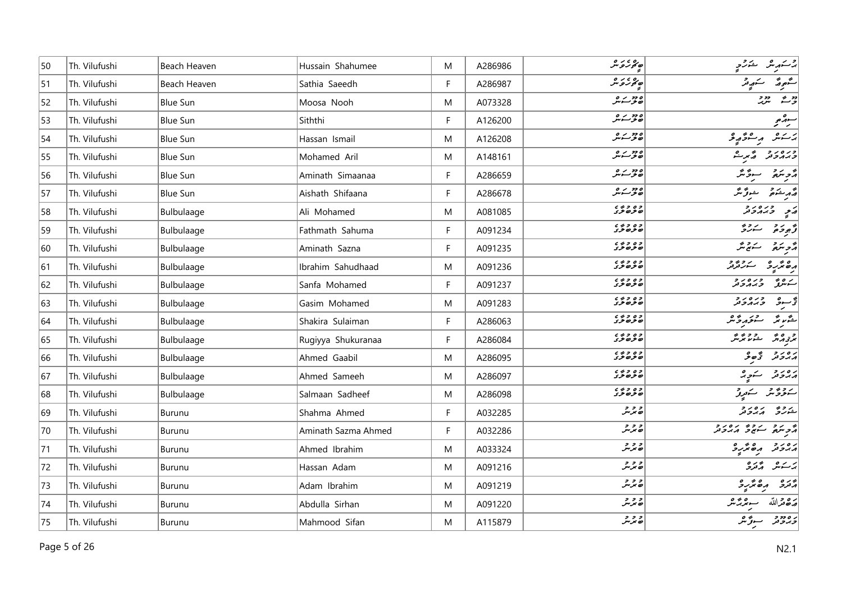| 50 | Th. Vilufushi | Beach Heaven    | Hussain Shahumee    | M  | A286986 | ئەممەر ئەرگە<br> -                        |                                                                |
|----|---------------|-----------------|---------------------|----|---------|-------------------------------------------|----------------------------------------------------------------|
| 51 | Th. Vilufushi | Beach Heaven    | Sathia Saeedh       | F. | A286987 | پەيمەر ئەر                                |                                                                |
| 52 | Th. Vilufushi | <b>Blue Sun</b> | Moosa Nooh          | M  | A073328 | پوچ مەھر                                  |                                                                |
| 53 | Th. Vilufushi | <b>Blue Sun</b> | Siththi             | F  | A126200 | ە دەپ ھ                                   | سودھ                                                           |
| 54 | Th. Vilufushi | <b>Blue Sun</b> | Hassan Ismail       | M  | A126208 | ە دەپ ھ                                   | برسكش مسترقية                                                  |
| 55 | Th. Vilufushi | <b>Blue Sun</b> | Mohamed Aril        | M  | A148161 | ەددىرە                                    | ورەرو ئەرب                                                     |
| 56 | Th. Vilufushi | <b>Blue Sun</b> | Aminath Simaanaa    | F  | A286659 | ە دەپ ھ                                   | ومحر يترقم فسيرقش                                              |
| 57 | Th. Vilufushi | <b>Blue Sun</b> | Aishath Shifaana    | F  | A286678 | ە دەپ ھ                                   | ە ئەرىشى ئىسىسى ئىگە<br>مەر                                    |
| 58 | Th. Vilufushi | Bulbulaage      | Ali Mohamed         | M  | A081085 | د ه د د »<br>صوصور                        | أرشح وره رو                                                    |
| 59 | Th. Vilufushi | Bulbulaage      | Fathmath Sahuma     | F. | A091234 | د ه د د »<br>مه نور                       | وتموذة سنرد                                                    |
| 60 | Th. Vilufushi | Bulbulaage      | Aminath Sazna       | F. | A091235 | وه و د »<br><b>ن</b> ه <del>و</del> ن و د | ۇ جەمئە ئەسكە ئىس                                              |
| 61 | Th. Vilufushi | Bulbulaage      | Ibrahim Sahudhaad   | M  | A091236 | و ه و و »<br><b>ت</b> ه نومو د            | دەنۇرۇ سەرتىر                                                  |
| 62 | Th. Vilufushi | Bulbulaage      | Sanfa Mohamed       | F  | A091237 | د ه د د »<br>مه نور                       | ستعلل وره دو                                                   |
| 63 | Th. Vilufushi | Bulbulaage      | Gasim Mohamed       | M  | A091283 | د ه د د »<br>صوصور                        | و دره در در<br>توسره در در                                     |
| 64 | Th. Vilufushi | Bulbulaage      | Shakira Sulaiman    | F  | A286063 | وه و د »<br><b>ن</b> ه <del>و</del> ن و د | شىرىد سىخىردىگ                                                 |
| 65 | Th. Vilufushi | Bulbulaage      | Rugiyya Shukuranaa  | F  | A286084 | و ه و و »<br><b>ت</b> ه نومو د            | و مع دوره و در د                                               |
| 66 | Th. Vilufushi | Bulbulaage      | Ahmed Gaabil        | M  | A286095 | و ه و و »<br><b>ن</b> ه موگور             | رەرو ۋەۋ                                                       |
| 67 | Th. Vilufushi | Bulbulaage      | Ahmed Sameeh        | M  | A286097 | وه و د »<br><b>ه نون</b> نور              | دەرو سەرە                                                      |
| 68 | Th. Vilufushi | Bulbulaage      | Salmaan Sadheef     | M  | A286098 | د ه د د »<br>مه نور                       | كەن ئەردىنى ئەر                                                |
| 69 | Th. Vilufushi | Burunu          | Shahma Ahmed        | F  | A032285 | د د د<br>حامرس                            | أخذرو بره دو                                                   |
| 70 | Th. Vilufushi | Burunu          | Aminath Sazma Ahmed | F  | A032286 | د د د<br>حامرس                            | م و سر د ده د ده د د                                           |
| 71 | Th. Vilufushi | Burunu          | Ahmed Ibrahim       | M  | A033324 | د د د<br>ھىرس                             | أمه ومعد و هندو                                                |
| 72 | Th. Vilufushi | Burunu          | Hassan Adam         | M  | A091216 | د د د<br>ھىرس                             | يرَ سَدَسٌ گَرِ تَعَرَّحَ                                      |
| 73 | Th. Vilufushi | Burunu          | Adam Ibrahim        | M  | A091219 | د د د<br>حامرس                            | وره مصرور                                                      |
| 74 | Th. Vilufushi | <b>Burunu</b>   | Abdulla Sirhan      | M  | A091220 | د د د<br>حرمر                             | رەقداللە سوپرىگە<br>مەھىراللە سوپرىگە<br>جەجەجە سو <i>ئى</i> ھ |
| 75 | Th. Vilufushi | Burunu          | Mahmood Sifan       | M  | A115879 | د د د<br>ھىرس                             |                                                                |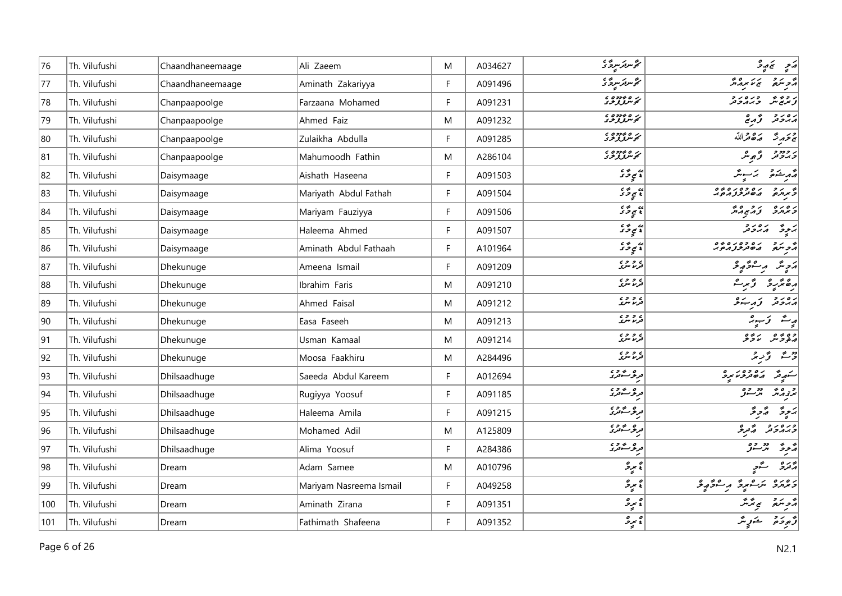| 76           | Th. Vilufushi | Chaandhaneemaage | Ali Zaeem               | ${\sf M}$ | A034627 | ڭۇسترسرچ <sup>ى</sup>                                  | $3.96$ $\frac{1}{3}$                                   |
|--------------|---------------|------------------|-------------------------|-----------|---------|--------------------------------------------------------|--------------------------------------------------------|
| 77           | Th. Vilufushi | Chaandhaneemaage | Aminath Zakariyya       | F         | A091496 | ر<br>گوسوټر سرچ <sub>ک</sub>                           | angli de                                               |
| 78           | Th. Vilufushi | Chanpaapoolge    | Farzaana Mohamed        | F         | A091231 | ر ه پروه ،<br>کاسرو د د                                | ۇ ئەمىچ ئىگە<br>و رە ر د<br><i>د ب</i> رگرىز           |
| 79           | Th. Vilufushi | Chanpaapoolge    | Ahmed Faiz              | M         | A091232 | ر ه ۱۶۶۶ و.<br>مخ <sup>مس</sup> ترترمز د               | بر 2 د حر<br>م <i>ر</i> بر <del>5</del> تر<br>ترٌ مر ح |
| 80           | Th. Vilufushi | Chanpaapoolge    | Zulaikha Abdulla        | F         | A091285 | ړه په ده ه ،<br>کړسرونونو د                            | ەھىراللە<br>ە ئەرگە<br>سى ئىرەرگ                       |
| 81           | Th. Vilufushi | Chanpaapoolge    | Mahumoodh Fathin        | ${\sf M}$ | A286104 | ړه ۱۵۶۶ و  ،<br>کتي سرو پولو و                         | ر دود و گهر ش                                          |
| 82           | Th. Vilufushi | Daisymaage       | Aishath Haseena         | F         | A091503 | پر سور پر ج<br>  پاسم سور سی                           | ۇرىشقى ئەسىنگە                                         |
| 83           | Th. Vilufushi | Daisymaage       | Mariyath Abdul Fathah   | F         | A091504 | )» سرچری<br>  ناسخ تر <sub>ک</sub>                     | a sososos ss                                           |
| 84           | Th. Vilufushi | Daisymaage       | Mariyam Fauziyya        | F         | A091506 | ء سچ پر د<br>  ۽ سچ پر پر                              | במתכ צה בית                                            |
| 85           | Th. Vilufushi | Daisymaage       | Haleema Ahmed           | F         | A091507 | $\begin{bmatrix} 2 & 2 & 2 \\ 3 & 2 & 2 \end{bmatrix}$ | برَوِدَ " درور                                         |
| 86           | Th. Vilufushi | Daisymaage       | Aminath Abdul Fathaah   | F         | A101964 | پی پیچ تر <sub>ک</sub>                                 | ه د د ده ده ده ده و<br>ترد سره پره تروز پروتر          |
| 87           | Th. Vilufushi | Dhekunuge        | Ameena Ismail           | F         | A091209 | ء و و ء<br>تور سری                                     | ړَ <sub>چ</sub> ِسٌ مِ جُمُوَ مُو                      |
| 88           | Th. Vilufushi | Dhekunuge        | Ibrahim Faris           | M         | A091210 | ړ و و ،<br>تور سر <sub>ن</sub> د                       | رەنزىر زىر                                             |
| 89           | Th. Vilufushi | Dhekunuge        | Ahmed Faisal            | ${\sf M}$ | A091212 | ، و و ،<br>تور سری                                     | برەرد تەرب                                             |
| $ 90\rangle$ | Th. Vilufushi | Dhekunuge        | Easa Faseeh             | M         | A091213 | ړ <i>د د</i> ،<br>تر <i>نا</i> مر                      | ارید توسید                                             |
| 91           | Th. Vilufushi | Dhekunuge        | Usman Kamaal            | ${\sf M}$ | A091214 | ړ <i>د د</i> ،<br>تر <i>ماس</i> ر                      | وە بور بەر                                             |
| 92           | Th. Vilufushi | Dhekunuge        | Moosa Faakhiru          | M         | A284496 | ء و و ء<br>تور سری                                     | وحيش وحزير                                             |
| 93           | Th. Vilufushi | Dhilsaadhuge     | Saeeda Abdul Kareem     | F         | A012694 | تر تو ر <sub>شتم</sub> و ۽                             | سکه مده ده ده در د                                     |
| 94           | Th. Vilufushi | Dhilsaadhuge     | Rugiyya Yoosuf          | F         | A091185 | و ه <sup>و و ي</sup>                                   | כ ספי מרבים<br>ת <sub>וצ</sub> ות ותי-ת                |
| 95           | Th. Vilufushi | Dhilsaadhuge     | Haleema Amila           | F         | A091215 | در ه شور و د<br>درنوگونوری                             | يَجِعُ الْمُحِرِّقُ                                    |
| 96           | Th. Vilufushi | Dhilsaadhuge     | Mohamed Adil            | ${\sf M}$ | A125809 | تورڅر شور دی                                           | ورەر د ئەرۋ                                            |
| 97           | Th. Vilufushi | Dhilsaadhuge     | Alima Yoosuf            | F         | A284386 | و ه <sup>و و ي</sup>                                   | دد وه<br>در سور<br>د بورځ<br>ا                         |
| 98           | Th. Vilufushi | Dream            | Adam Samee              | ${\sf M}$ | A010796 | ه<br>٤ سرچ                                             | أروره ستموي                                            |
| 99           | Th. Vilufushi | Dream            | Mariyam Nasreema Ismail | F         | A049258 | ه<br>پاسچه                                             | .<br>כמתב יצי-קיב קי-פקיב                              |
| 100          | Th. Vilufushi | Dream            | Aminath Zirana          | F         | A091351 | ۽ سرچ                                                  | أأديتموه للمحتفظ                                       |
| 101          | Th. Vilufushi | Dream            | Fathimath Shafeena      | F         | A091352 | ه پرچ<br>پاسچ                                          | قرم ديني سنوپٽر                                        |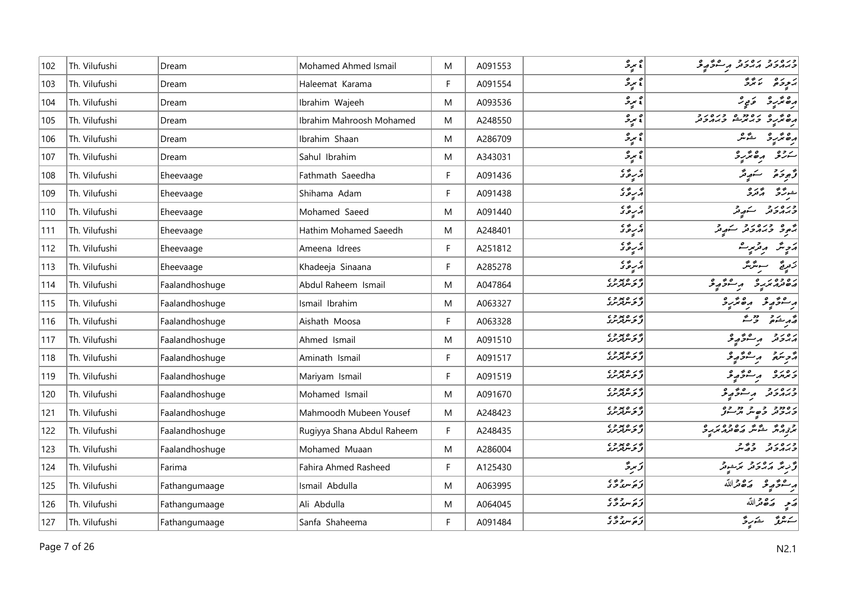| 102 | Th. Vilufushi | Dream          | Mohamed Ahmed Ismail       | M  | A091553 | ء سرچ                           | ورەرو رەرو مەركۇرگو                                             |
|-----|---------------|----------------|----------------------------|----|---------|---------------------------------|-----------------------------------------------------------------|
| 103 | Th. Vilufushi | Dream          | Haleemat Karama            | F  | A091554 | ه پرچ                           | بروزه روو                                                       |
| 104 | Th. Vilufushi | Dream          | Ibrahim Wajeeh             | M  | A093536 | ه<br>پېښې                       | ەر ھەترىر <i>9</i>                                              |
| 105 | Th. Vilufushi | Dream          | Ibrahim Mahroosh Mohamed   | M  | A248550 | ه<br>٤ سرچ                      | ره دو ه دره رو<br>د بر بر شو د بر د تر<br>ە ھەترىرى<br>رەھترىرى |
| 106 | Th. Vilufushi | Dream          | Ibrahim Shaan              | M  | A286709 | ه<br>٤ سرچ                      | رەپرىرە<br>برەپرىرە<br>ے مگر م <i>گر</i>                        |
| 107 | Th. Vilufushi | Dream          | Sahul Ibrahim              | M  | A343031 | ه پرچ                           | سەرىۋ<br>ەرھەترىر <sup>9</sup>                                  |
| 108 | Th. Vilufushi | Eheevaage      | Fathmath Saeedha           | F  | A091436 | ې په په<br>د کړه ی              | ژوځو شهر                                                        |
| 109 | Th. Vilufushi | Eheevaage      | Shihama Adam               | F  | A091438 | ې په په<br>د کړه ک              | $\frac{2}{3}$                                                   |
| 110 | Th. Vilufushi | Eheevaage      | Mohamed Saeed              | M  | A091440 | ې په په<br>د کړه ت              | ورەرو سەرو                                                      |
| 111 | Th. Vilufushi | Eheevaage      | Hathim Mohamed Saeedh      | M  | A248401 | ې په په<br>د کړه ک              | ء و درور و رود                                                  |
| 112 | Th. Vilufushi | Eheevaage      | Ameena Idrees              | F. | A251812 | ې په په<br>د کړه ک              | ړَ په په پرچم پ                                                 |
| 113 | Th. Vilufushi | Eheevaage      | Khadeeja Sinaana           | F  | A285278 | ې په په<br>د کړه ک              | ذَمْرِيحٌ - سِتَرْتَرُ                                          |
| 114 | Th. Vilufushi | Faalandhoshuge | Abdul Raheem Ismail        | M  | A047864 | ء ر ه پر د ،<br>تر تر سربر ر    | גם כם גם ביתיים ביתיים                                          |
| 115 | Th. Vilufushi | Faalandhoshuge | Ismail Ibrahim             | M  | A063327 | ء ر ەير د ،<br>توفرىترىرى       | ر عۇرو رەئرو                                                    |
| 116 | Th. Vilufushi | Faalandhoshuge | Aishath Moosa              | F  | A063328 | ء ر ەيد د ،<br>توخ سرترىرى      | و مرڪبو ويند                                                    |
| 117 | Th. Vilufushi | Faalandhoshuge | Ahmed Ismail               | M  | A091510 | ء ر ه پر د ،<br>تر تر سربر ر    | גפגב גלביב                                                      |
| 118 | Th. Vilufushi | Faalandhoshuge | Aminath Ismail             | F  | A091517 | و ر ه پر د ،<br>تر تر سرتر بر د | ړو شه په سرد پرو                                                |
| 119 | Th. Vilufushi | Faalandhoshuge | Mariyam Ismail             | F. | A091519 | ء ر ه پر د ،<br>تر تر سربر ر    | ر ه ر ه<br><del>د</del> بربرگر<br>ى سەئۇر بو                    |
| 120 | Th. Vilufushi | Faalandhoshuge | Mohamed Ismail             | M  | A091670 | ء ر ەير د ،<br>توفرىترىرى       | مەشتۇمەيۋ<br>و رە ر د<br><i>د بە</i> پەر                        |
| 121 | Th. Vilufushi | Faalandhoshuge | Mahmoodh Mubeen Yousef     | M  | A248423 | ء ر ه پر و ،<br>تر تر سربر ر    | ק סמכ כם הבי מבי הם<br>כמכת כם ית וקי-ית                        |
| 122 | Th. Vilufushi | Faalandhoshuge | Rugiyya Shana Abdul Raheem | F  | A248435 | ء ر ەير د ،<br>تۇخسىرىرى        | د وه شده رودور و<br>مر <sub>ق</sub> مبر شمس ما                  |
| 123 | Th. Vilufushi | Faalandhoshuge | Mohamed Muaan              | M  | A286004 | ء ر ەيد د ،<br>توخ سرترىرى      | כנסנכ כבית                                                      |
| 124 | Th. Vilufushi | Farima         | Fahira Ahmed Rasheed       | F. | A125430 | تزىرىچ                          | وَرِيرٌ 2955 يَرْجُونْزُ                                        |
| 125 | Th. Vilufushi | Fathangumaage  | Ismail Abdulla             | M  | A063995 | ر ر د د د ،<br>زه سد ژ د        | وحدة ويحدث والله                                                |
| 126 | Th. Vilufushi | Fathangumaage  | Ali Abdulla                | M  | A064045 | ر ر<br>زه سر د د د              | أصوب مركوفرالله                                                 |
| 127 | Th. Vilufushi | Fathangumaage  | Sanfa Shaheema             | F. | A091484 | ر ر د د د ،<br>زه سد ژ د        | سەمىر ئىسىر                                                     |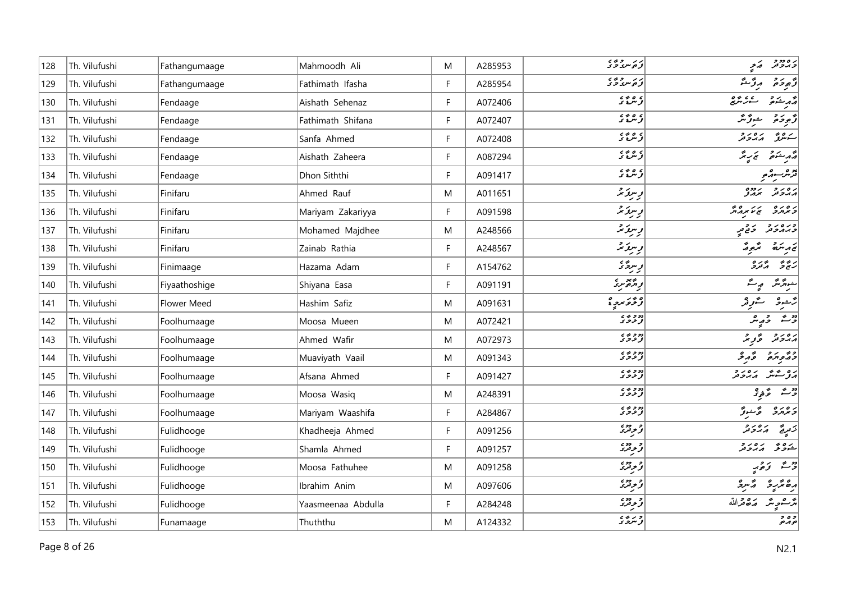| 128 | Th. Vilufushi | Fathangumaage | Mahmoodh Ali       | M           | A285953 | ر ر د و د ،<br>زه سد ژ د          | ئە 22 مە<br>رځيږ                                       |
|-----|---------------|---------------|--------------------|-------------|---------|-----------------------------------|--------------------------------------------------------|
| 129 | Th. Vilufushi | Fathangumaage | Fathimath Ifasha   | F.          | A285954 | ر ر د و و ،<br>توکه سرتی د د      | و بر د<br>اگرېږ ده<br>ەرتۇشە                           |
| 130 | Th. Vilufushi | Fendaage      | Aishath Sehenaz    | F           | A072406 | ې ه دي.<br>نو مرغ ي               | سوريده<br>پ <sup>و</sup> مرشومی<br>مرم                 |
| 131 | Th. Vilufushi | Fendaage      | Fathimath Shifana  | F.          | A072407 | ې ۵ پرې<br>تر مرغ ي               | و څو څخه<br>ىشو <b>ۇ</b> ئىگر                          |
| 132 | Th. Vilufushi | Fendaage      | Sanfa Ahmed        | $\mathsf F$ | A072408 | ې ۵ پرې<br>تر مرغ ي               | سەھەر بەردە                                            |
| 133 | Th. Vilufushi | Fendaage      | Aishath Zaheera    | F           | A087294 | ې و د پ<br>ز سره د                | قهر منتفر تم يرتمر                                     |
| 134 | Th. Vilufushi | Fendaage      | Dhon Siththi       | F           | A091417 | ې و د ،<br>تر سره د               | بر مرد معرض <i>ي</i><br>سنڌ سر                         |
| 135 | Th. Vilufushi | Finifaru      | Ahmed Rauf         | M           | A011651 | و سرتر تر                         | נים ני ניבים<br>הגבע הנדג                              |
| 136 | Th. Vilufushi | Finifaru      | Mariyam Zakariyya  | $\mathsf F$ | A091598 | اوسڈیز<br>پ                       | גפנפ ג'ו בר                                            |
| 137 | Th. Vilufushi | Finifaru      | Mohamed Majdhee    | M           | A248566 | و سوئر تر                         | ورەرو روپر<br>وبەدونر وق                               |
| 138 | Th. Vilufushi | Finifaru      | Zainab Rathia      | F.          | A248567 | و سوئر تر                         | يمرسمة<br>برُّجردٌ                                     |
| 139 | Th. Vilufushi | Finimaage     | Hazama Adam        | F           | A154762 | و سرچ <sup>ء</sup><br>سر          | رَيْحُ شَ<br>په ره<br>د ترو                            |
| 140 | Th. Vilufushi | Fiyaathoshige | Shiyana Easa       | F           | A091191 | و پژ <sub>ه</sub> رسری            | المعترض مي شم                                          |
| 141 | Th. Vilufushi | Flower Meed   | Hashim Safiz       | M           | A091631 | ژېڅو سرچ ؟                        | ر<br>ششوش <mark>ستورند</mark>                          |
| 142 | Th. Vilufushi | Foolhumaage   | Moosa Mueen        | M           | A072421 | دد و بر ر<br>تو نر <del>و</del> ک | $\begin{array}{cc} 2 & 2 & 2 \\ 2 & 2 & 2 \end{array}$ |
| 143 | Th. Vilufushi | Foolhumaage   | Ahmed Wafir        | M           | A072973 | ود و د د ،<br>او د و د            | برەر ئەربر                                             |
| 144 | Th. Vilufushi | Foolhumaage   | Muaviyath Vaail    | M           | A091343 | دد د د د ،<br>تو تر تر ر          | ومصمده عمد                                             |
| 145 | Th. Vilufushi | Foolhumaage   | Afsana Ahmed       | F.          | A091427 | دد و بر ر<br>تو نر <del>و</del> و | ره شه بره رو                                           |
| 146 | Th. Vilufushi | Foolhumaage   | Moosa Wasiq        | M           | A248391 | دد و بر ر<br>تو نر <del>و</del> و | ا تەسىئە ئەھمىي تەرىپى<br>مەسىئە                       |
| 147 | Th. Vilufushi | Foolhumaage   | Mariyam Waashifa   | F           | A284867 | دد و بر ر<br>تو نر <del>و</del> ر | گر شورگر<br>مرگ<br>ر ه ر ه<br>د بربرگ                  |
| 148 | Th. Vilufushi | Fulidhooge    | Khadheeja Ahmed    | F           | A091256 | و دوء<br>تو تو تر د               | برور و<br>  تر ورقح                                    |
| 149 | Th. Vilufushi | Fulidhooge    | Shamla Ahmed       | F           | A091257 | و دوء<br>تو تو تر د               | شەھ بەر دەر                                            |
| 150 | Th. Vilufushi | Fulidhooge    | Moosa Fathuhee     | M           | A091258 | و دور<br>تو تو تر د               | أوقت وكالحي                                            |
| 151 | Th. Vilufushi | Fulidhooge    | Ibrahim Anim       | M           | A097606 | و دوء<br>توموترد                  | وەترىر ئەيرو                                           |
| 152 | Th. Vilufushi | Fulidhooge    | Yaasmeenaa Abdulla | F           | A284248 | د دد ،<br>توموترد                 | ەھقراللە<br>ېژىــ <sup>2</sup> د <sub>ىچە</sub> ستر    |
| 153 | Th. Vilufushi | Funamaage     | Thuththu           | M           | A124332 | د ر د د ،<br>د سر <del>د</del> د  | و ه و<br>حوار حو                                       |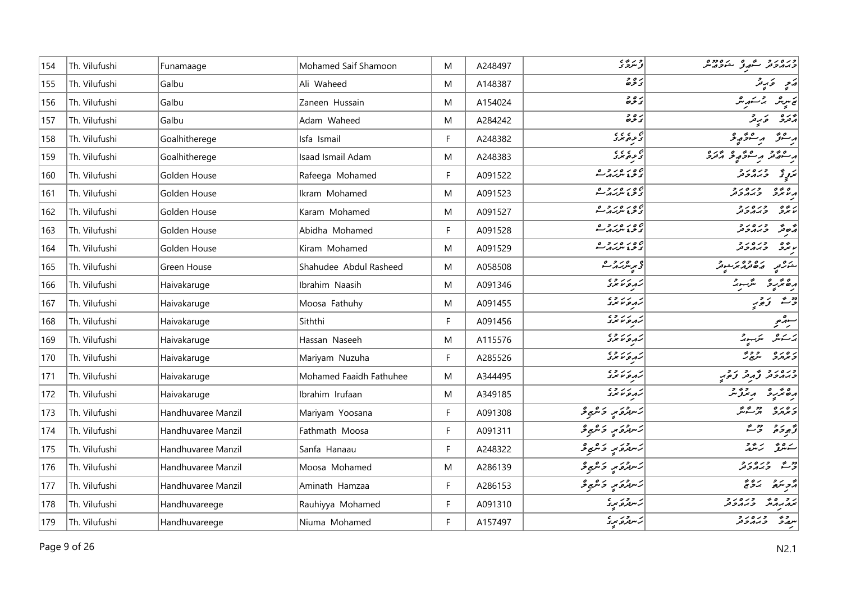| 154 | Th. Vilufushi | Funamaage          | Mohamed Saif Shamoon    | M         | A248497 | و پر پر پر<br>توسر <del>ی</del> ر <sub>ک</sub>          | ورەر د شهرو شوده. د                                 |
|-----|---------------|--------------------|-------------------------|-----------|---------|---------------------------------------------------------|-----------------------------------------------------|
| 155 | Th. Vilufushi | Galbu              | Ali Waheed              | M         | A148387 | ر ه د<br>د <del>گ</del> ره                              | ړې وړي <sub>د</sub>                                 |
| 156 | Th. Vilufushi | Galbu              | Zaneen Hussain          | M         | A154024 | ر ه د<br>د <del>گ</del> ره                              | ىم سرىكر كەسكە بىر                                  |
| 157 | Th. Vilufushi | Galbu              | Adam Waheed             | M         | A284242 | ر ه د<br>د <del>گ</del> ره                              | پر ده کر در<br>مرکزی کو دیگر                        |
| 158 | Th. Vilufushi | Goalhitherege      | Isfa Ismail             | F         | A248382 | ج د ه د د ه<br>د نوج مرد                                | ەرسىق<br>برىشۇرچ                                    |
| 159 | Th. Vilufushi | Goalhitherege      | Isaad Ismail Adam       | M         | A248383 | ج و ۽ ۽ ۽<br>د عرو مرد                                  | ر قوم د قرقر د دره<br>د شور د شرگور د ترد           |
| 160 | Th. Vilufushi | Golden House       | Rafeega Mohamed         | F         | A091522 | ە ە ر ەر د مە                                           | ټرړ ته د د د د                                      |
| 161 | Th. Vilufushi | Golden House       | Ikram Mohamed           | ${\sf M}$ | A091523 | ە مەر مەر جەم<br>ئىسىم ئىر ئەرگە                        | ەر ئەمۇر<br>و ره ر د<br>رنگرونر                     |
| 162 | Th. Vilufushi | Golden House       | Karam Mohamed           | M         | A091527 | ە مەر مەر جەھ<br>ئىسىمە ئىسىر كىرىگ                     | ر پره<br>ما بگرچ<br>ور ەر د<br>تر <i>پر پ</i> ر تر  |
| 163 | Th. Vilufushi | Golden House       | Abidha Mohamed          | F         | A091528 | ە مەر مەر جەھ<br>ئىسىمە ئىسىر كىرىگ                     | و ره ر د<br>تر پر تر تر<br>پر ص <sup>و</sup> ر      |
| 164 | Th. Vilufushi | Golden House       | Kiram Mohamed           | M         | A091529 | ە ە رە روم<br>ئەخرى مىرىر بەر                           | ىرىترى<br>و ره ر د<br><i>د ب</i> رگرفر              |
| 165 | Th. Vilufushi | Green House        | Shahudee Abdul Rasheed  | M         | A058508 | اءِ <sub>موس</sub> ور جا<br>ا <sub>گر موس</sub> ر پر جا | ره وه بر شوتر<br>پر <i>ه تر</i> بر شوتر<br>استرحمته |
| 166 | Th. Vilufushi | Haivakaruge        | Ibrahim Naasih          | M         | A091346 | ئەر <i>ە ئەن</i> ز                                      | ە ھەترىر <sup>ە</sup><br>ىگرىبىدىر                  |
| 167 | Th. Vilufushi | Haivakaruge        | Moosa Fathuhy           | M         | A091455 | ر<br>مەر ئەنىرى                                         | در مع توج <i>و</i> ر<br>اح <sup>ر مع</sup> د توجور  |
| 168 | Th. Vilufushi | Haivakaruge        | Siththi                 | F         | A091456 | ر<br>رکە ئەنىرى                                         | سىۋە                                                |
| 169 | Th. Vilufushi | Haivakaruge        | Hassan Naseeh           | M         | A115576 | ر<br>رکە ئەنىرى                                         | ىزىسكىلى ئىكرىيون                                   |
| 170 | Th. Vilufushi | Haivakaruge        | Mariyam Nuzuha          | F         | A285526 | ر پر ر د ،<br>رَبروَ مَا بوي                            | ر ه ر ه<br><del>ر</del> بربرگ<br>سرچ پر             |
| 171 | Th. Vilufushi | Haivakaruge        | Mohamed Faaidh Fathuhee | M         | A344495 | ر بر بر د ،<br>سرمر تدر                                 | כגמכת צות ציפה                                      |
| 172 | Th. Vilufushi | Haivakaruge        | Ibrahim Irufaan         | M         | A349185 | ر بر بر د ،<br>سره بر بر د                              | رەنزىر رىززىر                                       |
| 173 | Th. Vilufushi | Handhuvaree Manzil | Mariyam Yoosana         | F         | A091308 | كاستركوبي كومنتمو فل                                    | ر ه ر ه<br><del>د</del> بر بر د<br>ەز مەشە          |
| 174 | Th. Vilufushi | Handhuvaree Manzil | Fathmath Moosa          | F         | A091311 | كسرقرقر بالمراقبة                                       | أدُّمُ وحرم الله حراسةُ                             |
| 175 | Th. Vilufushi | Handhuvaree Manzil | Sanfa Hanaau            | F         | A248322 | رَسرتروَ ۽ د شهو و                                      | سەھدىگە<br>ر بود                                    |
| 176 | Th. Vilufushi | Handhuvaree Manzil | Moosa Mohamed           | M         | A286139 | تسترثر وتمبر                                            | ووقع وره د و                                        |
| 177 | Th. Vilufushi | Handhuvaree Manzil | Aminath Hamzaa          | F.        | A286153 | تسترتد وتميو                                            | برونج<br>ړ د سره په                                 |
| 178 | Th. Vilufushi | Handhuvareege      | Rauhiyya Mohamed        | F         | A091310 | ئەسەر ئەسرى                                             | برد ره پو<br>و ر ه ر و<br><i>و پر</i> گرفر          |
| 179 | Th. Vilufushi | Handhuvareege      | Niuma Mohamed           | F         | A157497 | ئەس <sub>ل</sub> ترە ئىرى                               | سرچينې<br>و رە ر د<br>تر پر تر تر                   |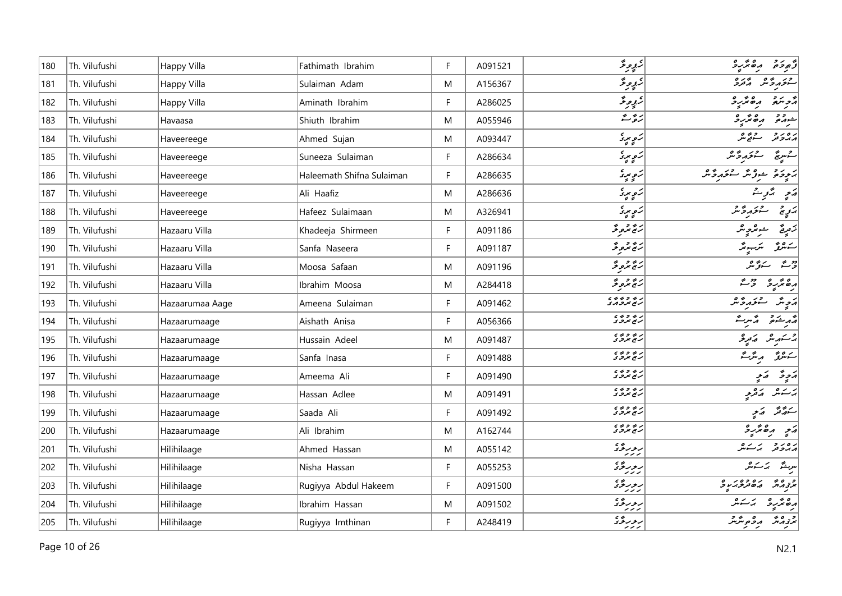| 180 | Th. Vilufushi | Happy Villa     | Fathimath Ibrahim         | F.          | A091521 | ر و و د گر<br>مستقب <sup>ل</sup>      | ە ھەترىر ۋ<br>وحجمج                             |
|-----|---------------|-----------------|---------------------------|-------------|---------|---------------------------------------|-------------------------------------------------|
| 181 | Th. Vilufushi | Happy Villa     | Sulaiman Adam             | M           | A156367 | ر و و د                               | كے دور دى مدىرە                                 |
| 182 | Th. Vilufushi | Happy Villa     | Aminath Ibrahim           | F           | A286025 | ع پ <sub>وجو</sub> مگر<br>            | ەرھەترىر <sup>9</sup><br>أرمز                   |
| 183 | Th. Vilufushi | Havaasa         | Shiuth Ibrahim            | M           | A055946 | رۇشە                                  | ەر ھەترىر 3<br>ر<br>  شود ج<br> <br>  __        |
| 184 | Th. Vilufushi | Haveereege      | Ahmed Sujan               | M           | A093447 | ر<br>سوپېرو                           | رەرد روماھ                                      |
| 185 | Th. Vilufushi | Haveereege      | Suneeza Sulaiman          | F           | A286634 | ر<br>سره ببرد                         | شىرىتى شۇرگە                                    |
| 186 | Th. Vilufushi | Haveereege      | Haleemath Shifna Sulaiman | F           | A286635 | ر<br>سوپېرو                           | <i>ړُودو جوده جوړوه</i>                         |
| 187 | Th. Vilufushi | Haveereege      | Ali Haafiz                | M           | A286636 | ر<br>موسو                             | ە ئۇ ئۇڭ<br>مۇ ئۇنىڭ                            |
| 188 | Th. Vilufushi | Haveereege      | Hafeez Sulaimaan          | M           | A326941 | <br> سرعه مورد                        |                                                 |
| 189 | Th. Vilufushi | Hazaaru Villa   | Khadeeja Shirmeen         | $\mathsf F$ | A091186 | ر پر بر<br>رئي تر <sub>حو</sub> څ     | ر<br>زمړينج<br>حوثري تر                         |
| 190 | Th. Vilufushi | Hazaaru Villa   | Sanfa Naseera             | F           | A091187 | ئەنچ ئۆرۈڭە                           | سەھەتە<br>ىئرسېدىتر                             |
| 191 | Th. Vilufushi | Hazaaru Villa   | Moosa Safaan              | M           | A091196 | ئەتج ئىزە ئەتىر                       | رم پر مرکز میں<br>حراقت میں سکون میں مرکز میں ک |
| 192 | Th. Vilufushi | Hazaaru Villa   | Ibrahim Moosa             | M           | A284418 | رَ پِّ بِرَّہِ بَرَّ                  | و مشر<br>ەرھەترىرى<br>ر                         |
| 193 | Th. Vilufushi | Hazaarumaa Aage | Ameena Sulaiman           | F           | A091462 | ر پر و پر پر<br>ربح بوروړ ی           | <i>ړَ<sub>چ</sub>ِنڈ جوکرو</i> گر               |
| 194 | Th. Vilufushi | Hazaarumaage    | Aishath Anisa             | F           | A056366 | ر ۶ و ۶ ی<br>رسخ بوری                 | ۇرىشكى مەسرىگ                                   |
| 195 | Th. Vilufushi | Hazaarumaage    | Hussain Adeel             | M           | A091487 | ر ۶ و ۶ ه<br>رسخ مور د                | جر ڪمر شهر ڪمبر هو.<br>س                        |
| 196 | Th. Vilufushi | Hazaarumaage    | Sanfa Inasa               | $\mathsf F$ | A091488 | ر پر و پر ی<br>تر بح بوری             | سەھۇر بەيئەشە                                   |
| 197 | Th. Vilufushi | Hazaarumaage    | Ameema Ali                | $\mathsf F$ | A091490 | ر پر و پر ی<br>تر بح بور <del>ی</del> | پر پر پر پر پر                                  |
| 198 | Th. Vilufushi | Hazaarumaage    | Hassan Adlee              | M           | A091491 | ر ۶ و ۶ ی<br>تریخ بوری                | ر سەش ھەممىي                                    |
| 199 | Th. Vilufushi | Hazaarumaage    | Saada Ali                 | $\mathsf F$ | A091492 | ر ۶ و ۶ ی<br>رسخ مرو ی                | ستروش المتعج                                    |
| 200 | Th. Vilufushi | Hazaarumaage    | Ali Ibrahim               | M           | A162744 | ر پر و پر ی<br>تر پنج بوری            | ړنو ره ټرېږ                                     |
| 201 | Th. Vilufushi | Hilihilaage     | Ahmed Hassan              | M           | A055142 | ر و ر و <sup>ه</sup><br>بر بر         | رەرو بەسەر                                      |
| 202 | Th. Vilufushi | Hilihilaage     | Nisha Hassan              | F           | A055253 | ر د رگ <sup>ي</sup><br>ر د رگ         | اسرینڈ کرکٹر<br>ک                               |
| 203 | Th. Vilufushi | Hilihilaage     | Rugiyya Abdul Hakeem      | F           | A091500 | ر ور و <sup>ه</sup><br>ر ر ر          | و وه ده دور و                                   |
| 204 | Th. Vilufushi | Hilihilaage     | Ibrahim Hassan            | M           | A091502 | ار ورځۍ<br><u>در</u>                  | رەپرىر بەسىر                                    |
| 205 | Th. Vilufushi | Hilihilaage     | Rugiyya Imthinan          | F.          | A248419 | ر د ر د د د<br>ر د ر                  |                                                 |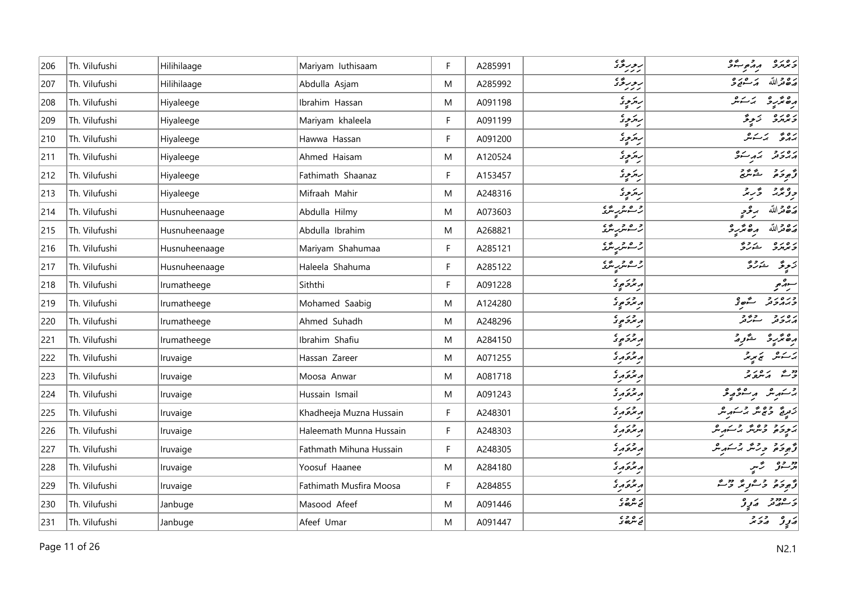| 206 | Th. Vilufushi | Hilihilaage   | Mariyam luthisaam       | F         | A285991 | رىرىدۇ ؟<br>برىرىدۇ ؟                   | ودېموستو<br>ر ه بر ه<br><del>ر</del> بربرگر                                                                                                                                                                                                                                                                                     |
|-----|---------------|---------------|-------------------------|-----------|---------|-----------------------------------------|---------------------------------------------------------------------------------------------------------------------------------------------------------------------------------------------------------------------------------------------------------------------------------------------------------------------------------|
| 207 | Th. Vilufushi | Hilihilaage   | Abdulla Asjam           | M         | A285992 | ر ور ژُءَ<br>بربر                       | ەھىراللە<br>پر ھي ھ                                                                                                                                                                                                                                                                                                             |
| 208 | Th. Vilufushi | Hiyaleege     | Ibrahim Hassan          | M         | A091198 | رېزى <sub>ۋى</sub>                      | رە ئەر ئەسەر                                                                                                                                                                                                                                                                                                                    |
| 209 | Th. Vilufushi | Hiyaleege     | Mariyam khaleela        | F         | A091199 | رېزىر                                   | ر ه ر ه<br><del>ر</del> بربرو<br>تزوٍوٌ                                                                                                                                                                                                                                                                                         |
| 210 | Th. Vilufushi | Hiyaleege     | Hawwa Hassan            | F         | A091200 | رېزېږ <sup>ي</sup>                      | رەپ بەسكىر                                                                                                                                                                                                                                                                                                                      |
| 211 | Th. Vilufushi | Hiyaleege     | Ahmed Haisam            | M         | A120524 | رېزېږ <sup>ي</sup>                      | رەرد ئەرىئى                                                                                                                                                                                                                                                                                                                     |
| 212 | Th. Vilufushi | Hiyaleege     | Fathimath Shaanaz       | F         | A153457 | رېزىپە <sup>ي</sup>                     | ے مگرچ<br>مشر <i>یخ</i><br>ۇ بوخ <sub>ى</sub>                                                                                                                                                                                                                                                                                   |
| 213 | Th. Vilufushi | Hiyaleege     | Mifraah Mahir           | ${\sf M}$ | A248316 | رېزىي <sup>ى</sup>                      | د ژ برٌ برُ<br>تر سر تر                                                                                                                                                                                                                                                                                                         |
| 214 | Th. Vilufushi | Husnuheenaage | Abdulla Hilmy           | M         | A073603 | ر مەش <sub>رىپ</sub> ىدى<br>مەسرىپە     | ة صرالله<br>برقرح                                                                                                                                                                                                                                                                                                               |
| 215 | Th. Vilufushi | Husnuheenaage | Abdulla Ibrahim         | M         | A268821 | ئەسىھەر يى <i>گە</i> كە                 | دە ئەرد<br>برە قرالله                                                                                                                                                                                                                                                                                                           |
| 216 | Th. Vilufushi | Husnuheenaage | Mariyam Shahumaa        | F.        | A285121 | ر مشتر پېژند کې په دې<br>پر سومبر پېژند | شەرج<br>ر ه ر ه<br>د بربرد                                                                                                                                                                                                                                                                                                      |
| 217 | Th. Vilufushi | Husnuheenaage | Haleela Shahuma         | F         | A285122 | <sup>ج</sup> سەمئرىيەتكە                | شەرىخ<br>زَرٍ وَّ                                                                                                                                                                                                                                                                                                               |
| 218 | Th. Vilufushi | Irumatheege   | Siththi                 | F         | A091228 | پر ټر ځو ئو                             | سودھو                                                                                                                                                                                                                                                                                                                           |
| 219 | Th. Vilufushi | Irumatheege   | Mohamed Saabig          | M         | A124280 | <br>  په ټرخ ه <sub>و</sub> ځ           | $\begin{array}{cc} 0 & 0 & 0 & 0 \\ 0 & 0 & 0 & 0 \\ 0 & 0 & 0 & 0 \\ 0 & 0 & 0 & 0 \\ 0 & 0 & 0 & 0 \\ 0 & 0 & 0 & 0 \\ 0 & 0 & 0 & 0 \\ 0 & 0 & 0 & 0 \\ 0 & 0 & 0 & 0 \\ 0 & 0 & 0 & 0 \\ 0 & 0 & 0 & 0 \\ 0 & 0 & 0 & 0 \\ 0 & 0 & 0 & 0 & 0 \\ 0 & 0 & 0 & 0 & 0 \\ 0 & 0 & 0 & 0 & 0 \\ 0 & 0 & 0 & 0 & 0 \\ 0 & 0 & 0 &$ |
| 220 | Th. Vilufushi | Irumatheege   | Ahmed Suhadh            | M         | A248296 | ېر تر <i>دې</i><br>ر                    | ره ر و و و و<br>پررونر سورتر                                                                                                                                                                                                                                                                                                    |
| 221 | Th. Vilufushi | Irumatheege   | Ibrahim Shafiu          | M         | A284150 | پر ټر ځري<br>                           | ەھترىرى ش <i>ۆ</i> رۈ                                                                                                                                                                                                                                                                                                           |
| 222 | Th. Vilufushi | Iruvaige      | Hassan Zareer           | M         | A071255 | و برخور ۽                               | يرسك تجارير                                                                                                                                                                                                                                                                                                                     |
| 223 | Th. Vilufushi | Iruvaige      | Moosa Anwar             | M         | A081718 | وبترعرمر                                | وحث كالمرور                                                                                                                                                                                                                                                                                                                     |
| 224 | Th. Vilufushi | Iruvaige      | Hussain Ismail          | M         | A091243 | وبرءرء                                  | برسكريش وستوكوفح                                                                                                                                                                                                                                                                                                                |
| 225 | Th. Vilufushi | Iruvaige      | Khadheeja Muzna Hussain | F         | A248301 | <br>  په ټرغ پرې                        | تربرة وه شركة بالشريح                                                                                                                                                                                                                                                                                                           |
| 226 | Th. Vilufushi | Iruvaige      | Haleemath Munna Hussain | F         | A248303 | و برغاړ                                 | برود و و و و د د ه                                                                                                                                                                                                                                                                                                              |
| 227 | Th. Vilufushi | Iruvaige      | Fathmath Mihuna Hussain | F         | A248305 | وبرځ د ځ                                | وتجودهم ورثتر برسكرتك                                                                                                                                                                                                                                                                                                           |
| 228 | Th. Vilufushi | Iruvaige      | Yoosuf Haanee           | M         | A284180 | د بره در <sup>ج</sup>                   | در ده شهر<br>مرسوفر شهر                                                                                                                                                                                                                                                                                                         |
| 229 | Th. Vilufushi | Iruvaige      | Fathimath Musfira Moosa | F         | A284855 | و برخور ۽                               | و دو وه وشو «م                                                                                                                                                                                                                                                                                                                  |
| 230 | Th. Vilufushi | Janbuge       | Masood Afeef            | M         | A091446 | ر و و ء<br>قع سر <i>ه د</i>             | ב פמיק ה <sub>בל</sub>                                                                                                                                                                                                                                                                                                          |
| 231 | Th. Vilufushi | Janbuge       | Afeef Umar              | M         | A091447 | ر ۵ ۶ ء<br>قع سر <del>ھ</del> ت         | أمروه ورو                                                                                                                                                                                                                                                                                                                       |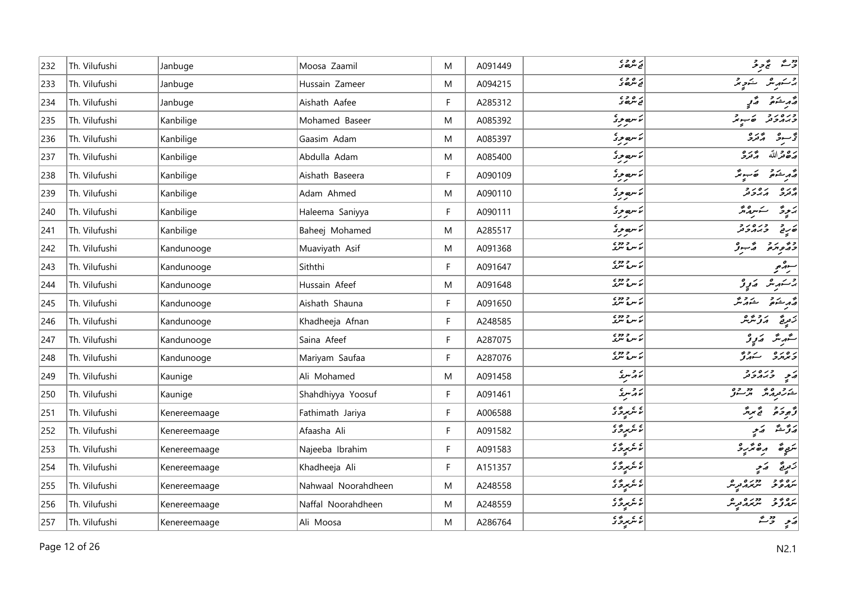| 232 | Th. Vilufushi | Janbuge      | Moosa Zaamil        | ${\sf M}$ | A091449 | ر ه و ء<br> قع سرچ <sub>ک</sub>       | ارسته م <sub>جم</sub> ور                  |
|-----|---------------|--------------|---------------------|-----------|---------|---------------------------------------|-------------------------------------------|
| 233 | Th. Vilufushi | Janbuge      | Hussain Zameer      | ${\sf M}$ | A094215 | ر ۵ ۶ ء<br>قع سر <i>ھ ی</i>           | 2سەرىكە سەرىكە                            |
| 234 | Th. Vilufushi | Janbuge      | Aishath Aafee       | F         | A285312 | ر ۵ ۶ ء<br>قع سر <i>ھ ی</i>           | أوم شوه وتو                               |
| 235 | Th. Vilufushi | Kanbilige    | Mohamed Baseer      | M         | A085392 | ما سرچ مور                            | $\frac{2}{3}$                             |
| 236 | Th. Vilufushi | Kanbilige    | Gaasim Adam         | M         | A085397 |                                       | تخ سوفر محمدة                             |
| 237 | Th. Vilufushi | Kanbilige    | Abdulla Adam        | ${\sf M}$ | A085400 | پر سرچ مو ی<br>  پر سرچ مو ی          | مَدْهِ مِنْ اللَّهُ مُرْمَّدِرْ           |
| 238 | Th. Vilufushi | Kanbilige    | Aishath Baseera     | F         | A090109 | ر<br>ماسرچونی                         | وكرشكم كأسوش                              |
| 239 | Th. Vilufushi | Kanbilige    | Adam Ahmed          | ${\sf M}$ | A090110 | ا پر سرچ مو د<br>مسرچ مو د            | وره رورد                                  |
| 240 | Th. Vilufushi | Kanbilige    | Haleema Saniyya     | F         | A090111 |                                       | رَ <sub>وِد</sub> َّ سَس <i>رد</i> ُ      |
| 241 | Th. Vilufushi | Kanbilige    | Baheej Mohamed      | ${\sf M}$ | A285517 | ر<br>ما سرچ ور                        | كارد ورەرد                                |
| 242 | Th. Vilufushi | Kandunooge   | Muaviyath Asif      | M         | A091368 | ر سرچ دد پر<br>ما سرچ سرب             | במקום מהקר                                |
| 243 | Th. Vilufushi | Kandunooge   | Siththi             | F         | A091647 | پر سرچ ود پر<br>ما سرچ سربر           | سوړې                                      |
| 244 | Th. Vilufushi | Kandunooge   | Hussain Afeef       | M         | A091648 | بر سرچ ود ،<br>بر سرچ مبری            | جاسكر شكر وكالمحافية                      |
| 245 | Th. Vilufushi | Kandunooge   | Aishath Shauna      | F         | A091650 | پر سرچ دوي<br>موسوع سري               | د در در در در در در مر<br>مرکز در مشور سو |
| 246 | Th. Vilufushi | Kandunooge   | Khadheeja Afnan     | F         | A248585 | ر دوه د<br>ما سره سرد                 | زَمِيعٌ    پَرُوْ بَرُمْر                 |
| 247 | Th. Vilufushi | Kandunooge   | Saina Afeef         | F         | A287075 | ر سرچ دور<br>ما سرچ سرب               | لشريئر الكويى                             |
| 248 | Th. Vilufushi | Kandunooge   | Mariyam Saufaa      | F         | A287076 | ر دوه د<br>ما سره سرد                 | ره ره دود                                 |
| 249 | Th. Vilufushi | Kaunige      | Ali Mohamed         | M         | A091458 | تذمريح                                | أثمر ورەرو                                |
| 250 | Th. Vilufushi | Kaunige      | Shahdhiyya Yoosuf   | F         | A091461 | مذهبية                                | شور وره به دو وه<br>شورتور مر             |
| 251 | Th. Vilufushi | Kenereemaage | Fathimath Jariya    | F         | A006588 | ، ئەير <sup>ۇ ي</sup>                 | ومجوده ومجر                               |
| 252 | Th. Vilufushi | Kenereemaage | Afaasha Ali         | F         | A091582 | ې په په په<br>تا مر <sub>مې</sub> د د | روية كالمح                                |
| 253 | Th. Vilufushi | Kenereemaage | Najeeba Ibrahim     | F         | A091583 | ، پرېږي<br>تا متر پېړندي              |                                           |
| 254 | Th. Vilufushi | Kenereemaage | Khadheeja Ali       | F         | A151357 | ه و په وه<br>موسيرد د                 | ر<br>توبعًا الأمي                         |
| 255 | Th. Vilufushi | Kenereemaage | Nahwaal Noorahdheen | ${\sf M}$ | A248558 | ، ئەير <sup>ە ي</sup>                 | נפיד מנים פי                              |
| 256 | Th. Vilufushi | Kenereemaage | Naffal Noorahdheen  | ${\sf M}$ | A248559 | ءَ يئر پر دُ ئ                        | رە دىر<br>سەرگە<br>مرىزە مړىنگ            |
| 257 | Th. Vilufushi | Kenereemaage | Ali Moosa           | M         | A286764 | ء ي <sub>مبر</sub> و ئ <sub>و</sub>   | پر په دوسته                               |
|     |               |              |                     |           |         |                                       |                                           |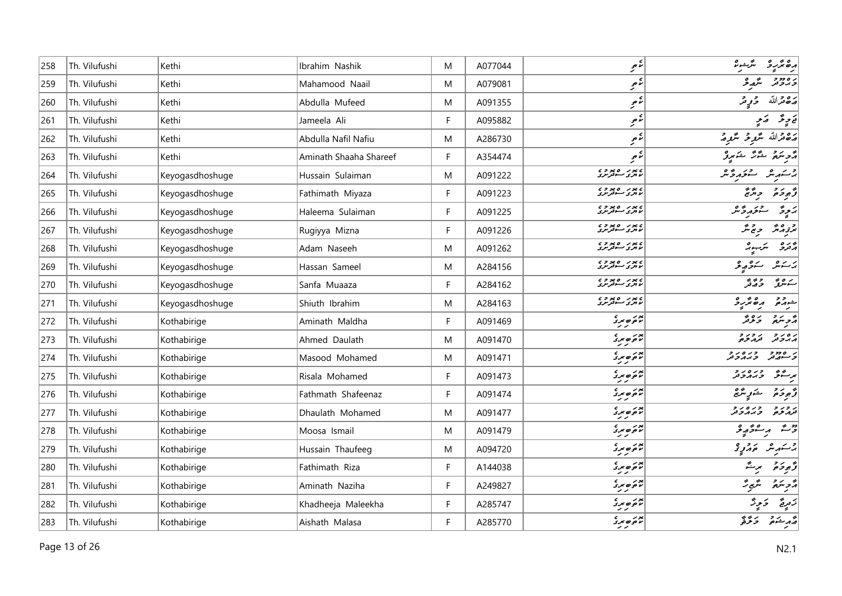| 258 | Th. Vilufushi | Kethi           | Ibrahim Nashik         | M         | A077044 | أغمو                                      | مگرشتەر<br>5, 20, 0                                              |
|-----|---------------|-----------------|------------------------|-----------|---------|-------------------------------------------|------------------------------------------------------------------|
| 259 | Th. Vilufushi | Kethi           | Mahamood Naail         | M         | A079081 | اءَمو                                     | ر ه دو و<br>د بر <del>و</del> تر<br>سمەمۇ                        |
| 260 | Th. Vilufushi | Kethi           | Abdulla Mufeed         | M         | A091355 | بتمعج                                     | <mark>برء تر</mark> الله<br>تر د تر                              |
| 261 | Th. Vilufushi | Kethi           | Jameela Ali            | F         | A095882 | تنمعج                                     | تحاويجن أتكامي                                                   |
| 262 | Th. Vilufushi | Kethi           | Abdulla Nafil Nafiu    | M         | A286730 | ء<br>موھ                                  | رَةَ قَدَاللّهَ مُتَّعَرِ حَمَّدِهُ                              |
| 263 | Th. Vilufushi | Kethi           | Aminath Shaaha Shareef | F         | A354474 | اءِ<br>اعو                                | ۇ ئەستىم ئىشرىش ئىستىرى                                          |
| 264 | Th. Vilufushi | Keyogasdhoshuge | Hussain Sulaiman       | M         | A091222 | ن پیوبر ان میتوانده<br>ما افری مسئولتوسری | يزختريش كمتوروقين                                                |
| 265 | Th. Vilufushi | Keyogasdhoshuge | Fathimath Miyaza       | F         | A091223 | ن پور ہے جو و تا<br>ما آئری سسوفر سری     | وتجوحكم وترمج                                                    |
| 266 | Th. Vilufushi | Keyogasdhoshuge | Haleema Sulaiman       | F         | A091225 | ے پور ے پو و ے<br>ما آئری سسوفرس          | بزود<br><u>شۇرۇ ئە</u>                                           |
| 267 | Th. Vilufushi | Keyogasdhoshuge | Rugiyya Mizna          | F         | A091226 | ے پور ے پو و ے<br>ما آئری سسونس تری       | جە جە ئەر<br>جەنتىر                                              |
| 268 | Th. Vilufushi | Keyogasdhoshuge | Adam Naseeh            | M         | A091262 | ے پور ے پو و ے<br>ما آئری سندھرس          | پور ہ<br>پرتونژ<br>ىئەسەر                                        |
| 269 | Th. Vilufushi | Keyogasdhoshuge | Hassan Sameel          | M         | A284156 | ے پور کے پورے<br>ماحری سے فرمزی           | ئەسەھە<br>سەۋرىۋ                                                 |
| 270 | Th. Vilufushi | Keyogasdhoshuge | Sanfa Muaaza           | F         | A284162 | ے پور ۔ صد و ے<br>ما آئری سسونس نوی       | سەھەيىتە<br>و پر پر<br>حرمہ فر                                   |
| 271 | Th. Vilufushi | Keyogasdhoshuge | Shiuth Ibrahim         | ${\sf M}$ | A284163 | ے پور کے پورے<br>ماحری سنگرمزی            | ە ھەترىرى<br>شەد 7<br>شەھەمى                                     |
| 272 | Th. Vilufushi | Kothabirige     | Aminath Maldha         | F         | A091469 | بر<br>موھ سري<br>- -                      | ر ە بۇ<br><b>ت</b> رىخى<br>پ <sup>ر</sup> تر سرچ                 |
| 273 | Th. Vilufushi | Kothabirige     | Ahmed Daulath          | ${\sf M}$ | A091470 | بور<br>مانوھ ہوی<br>مسیر                  | ر ەر ج<br>مەركى<br>تر 3 ر 7<br>تو <i>۾ م</i> حر <i>7</i>         |
| 274 | Th. Vilufushi | Kothabirige     | Masood Mohamed         | M         | A091471 | بدر<br>ماه گره مرد                        | و ر ه ر د<br>تر پر ژ تر<br>ر ره دو و<br>تر سوړنور                |
| 275 | Th. Vilufushi | Kothabirige     | Risala Mohamed         | F         | A091473 | بدر<br>ماه گره مرد                        | و ره ر و<br><i>و پر</i> و تر<br>لىرىشۇ                           |
| 276 | Th. Vilufushi | Kothabirige     | Fathmath Shafeenaz     | F         | A091474 | بر ر<br>ماهي حامري                        | و څوخه د<br>ڪُوپِ سُرَّج                                         |
| 277 | Th. Vilufushi | Kothabirige     | Dhaulath Mohamed       | ${\sf M}$ | A091477 | برر<br>ماه گ <i>و</i> سرد                 | ر و ر و<br>ترپر <del>تر</del> مح<br>و ره ر و<br><i>د ب</i> رگرفر |
| 278 | Th. Vilufushi | Kothabirige     | Moosa Ismail           | M         | A091479 | پر ر<br>مانه تو مرد<br>مان                | برىشۇپەي<br>دی مشتر<br>حراکته                                    |
| 279 | Th. Vilufushi | Kothabirige     | Hussain Thaufeeg       | M         | A094720 | بر ر<br>ماه گومونری<br>ماه گر             | جسكر محمد ويح                                                    |
| 280 | Th. Vilufushi | Kothabirige     | Fathimath Riza         | F         | A144038 | پر ر<br>مائم ن مرد<br>- -                 | و مورد مرت                                                       |
| 281 | Th. Vilufushi | Kothabirige     | Aminath Naziha         | F         | A249827 | بور<br>موھىرى<br>كەرىر                    | پ <sup>ر</sup> د سره<br>د<br>ىتىبى گە                            |
| 282 | Th. Vilufushi | Kothabirige     | Khadheeja Maleekha     | F         | A285747 | بور<br>موھ مرد<br>م                       | ز ور <sup>چ</sup><br>ز ورچ                                       |
| 283 | Th. Vilufushi | Kothabirige     | Aishath Malasa         | F         | A285770 | بدر<br>ماهوً حامزی                        | وأرشكم وكركو                                                     |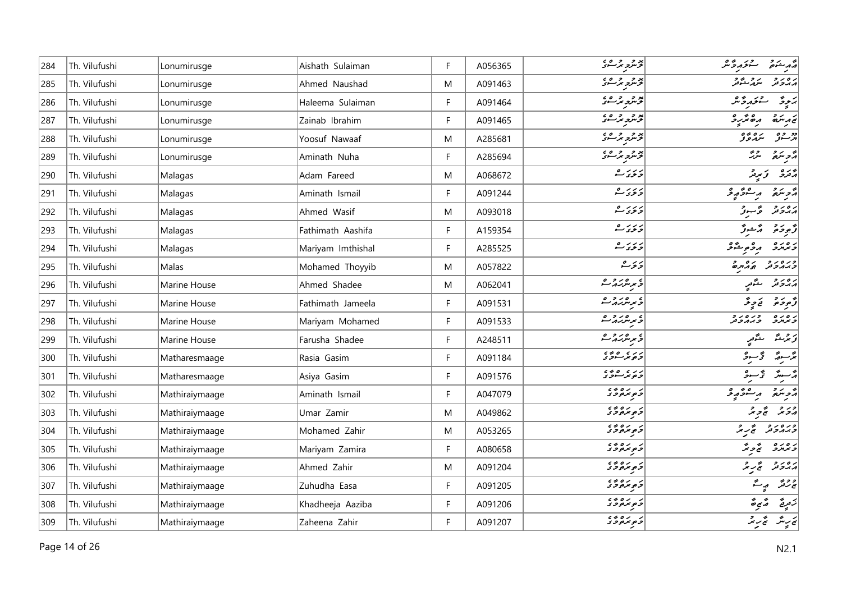| 284 | Th. Vilufushi | Lonumirusge    | Aishath Sulaiman  | F           | A056365 | بریر بر محرم می                                             | ە ئەستىم سىزەر ئىر                                             |
|-----|---------------|----------------|-------------------|-------------|---------|-------------------------------------------------------------|----------------------------------------------------------------|
| 285 | Th. Vilufushi | Lonumirusge    | Ahmed Naushad     | M           | A091463 | بریر بر می شود                                              | رەر تەرىپى<br>مەرىپ شەشقى                                      |
| 286 | Th. Vilufushi | Lonumirusge    | Haleema Sulaiman  | F           | A091464 | بر مر بر مر مه د                                            | برَجِرةٌ<br>سەئۇمەر ئەش                                        |
| 287 | Th. Vilufushi | Lonumirusge    | Zainab Ibrahim    | F           | A091465 | بر مر بر مه دی                                              | ەھ ترىرى<br>يمرسكة                                             |
| 288 | Th. Vilufushi | Lonumirusge    | Yoosuf Nawaaf     | M           | A285681 | بۇ تر <sub>ىر تىر</sub> مىيى<br>                            | دد بره<br>در سور<br>سرە پەە                                    |
| 289 | Th. Vilufushi | Lonumirusge    | Aminath Nuha      | F           | A285694 | بر پر بر مرد و <sup>2</sup><br>  بر سر بر سر و <sup>2</sup> | أروبتهم<br>سرتر                                                |
| 290 | Th. Vilufushi | Malagas        | Adam Fareed       | M           | A068672 | ىر ئەر ھ                                                    | أردو ترميض                                                     |
| 291 | Th. Vilufushi | Malagas        | Aminath Ismail    | F           | A091244 | ىر ئەر ھ                                                    | مجرجتم مراجح مجموعه                                            |
| 292 | Th. Vilufushi | Malagas        | Ahmed Wasif       | M           | A093018 | ىرىر ھ                                                      | ر ه ر د<br>م.ر د تر<br>ۇ سىرۇ                                  |
| 293 | Th. Vilufushi | Malagas        | Fathimath Aashifa | F           | A159354 | ىرىر ھ                                                      | ژوده ژحرژ                                                      |
| 294 | Th. Vilufushi | Malagas        | Mariyam Imthishal | F           | A285525 | ىر ئەر ھ                                                    | ويرمزوا بروموشو                                                |
| 295 | Th. Vilufushi | Malas          | Mohamed Thoyyib   | M           | A057822 | ئەنۇرىشە                                                    | גם<br>המינים<br>و ره ر و<br><i>و پر</i> و تر                   |
| 296 | Th. Vilufushi | Marine House   | Ahmed Shadee      | M           | A062041 | اء بي <i>رورو</i> ت                                         | پرەر ئەھىر                                                     |
| 297 | Th. Vilufushi | Marine House   | Fathimath Jameela | F           | A091531 | ۇ بىر بىرى <i>دۇ</i> گ                                      | وٌموحَمٌ ﴾ وِ وُ                                               |
| 298 | Th. Vilufushi | Marine House   | Mariyam Mohamed   | $\mathsf F$ | A091533 | ې په <i>۲۷۳ ک</i>                                           | ر ه ر ه<br><del>ر</del> بربر ژ<br>و رە ر د<br><i>د بر</i> گرىز |
| 299 | Th. Vilufushi | Marine House   | Farusha Shadee    | F           | A248511 | <i>ئى بىر شەر 2 ھ</i>                                       | ترترشگ<br>ر<br>مشور<br>پ                                       |
| 300 | Th. Vilufushi | Matharesmaage  | Rasia Gasim       | F           | A091184 | ر ر به ۵ په په<br><del>ر</del> پوهندو <sub>ک</sub>          | بترسيقه<br>سچ سوچر<br>ر                                        |
| 301 | Th. Vilufushi | Matharesmaage  | Asiya Gasim       | F           | A091576 | ر ر ر ه و د ،<br><del>ر</del> ه پر سور د                    | پر<br>مرس<br>ئۇسىۋ                                             |
| 302 | Th. Vilufushi | Mathiraiymaage | Aminath Ismail    | F           | A047079 | ر مره و ،<br>د مرموز د                                      | ەرسىۋەپەيج<br>ړګر سرچ                                          |
| 303 | Th. Vilufushi | Mathiraiymaage | Umar Zamir        | M           | A049862 | ر بره و ،<br>د مرموز د                                      | ور و ځ د بر                                                    |
| 304 | Th. Vilufushi | Mathiraiymaage | Mohamed Zahir     | M           | A053265 | ر مره و ،<br>د مرموز د                                      | ورەرو ئەرىر                                                    |
| 305 | Th. Vilufushi | Mathiraiymaage | Mariyam Zamira    | F           | A080658 | ر مره و ،<br>د مرموز د                                      | ر ه ر ه<br><del>ر</del> بربرگ<br>ىچ تر ئىر                     |
| 306 | Th. Vilufushi | Mathiraiymaage | Ahmed Zahir       | M           | A091204 | ر مره و ،<br>د مرموز د                                      | رەر د<br>پچ ريخه<br>پخ                                         |
| 307 | Th. Vilufushi | Mathiraiymaage | Zuhudha Easa      | F           | A091205 | ر ده وه و<br>د مومروز د                                     | ح ح ج<br>سی رنگر<br>ر شقی<br>مق                                |
| 308 | Th. Vilufushi | Mathiraiymaage | Khadheeja Aaziba  | F           | A091206 | ر مره و ،<br>د مرمود د                                      | ترىرىتج<br>ئىستىم<br>وحجيحة                                    |
| 309 | Th. Vilufushi | Mathiraiymaage | Zaheena Zahir     | F           | A091207 | ر بره و ،<br>د مرموز د                                      |                                                                |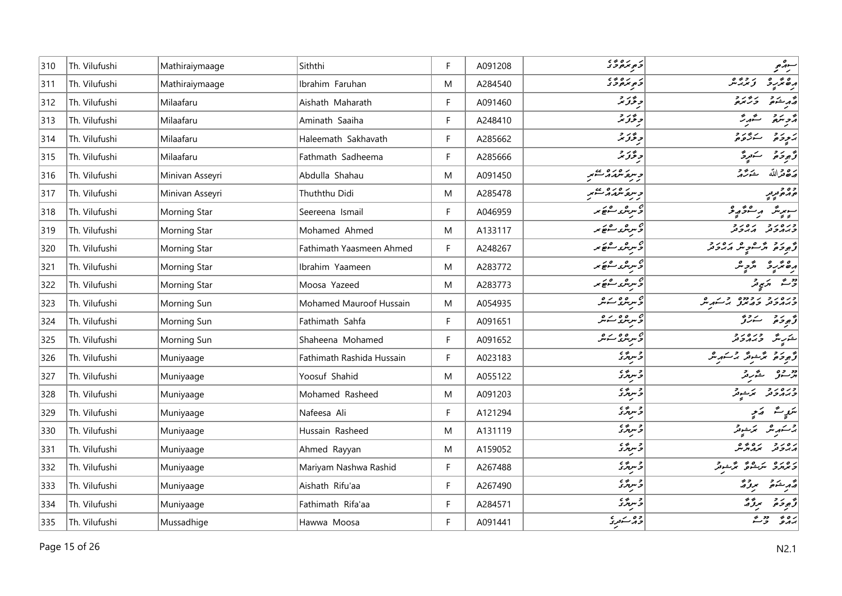| 310 | Th. Vilufushi | Mathiraiymaage      | Siththi                   | F  | A091208 | <br> حي مرهوحرى                                 | سورمو                                     |
|-----|---------------|---------------------|---------------------------|----|---------|-------------------------------------------------|-------------------------------------------|
| 311 | Th. Vilufushi | Mathiraiymaage      | Ibrahim Faruhan           | M  | A284540 | ر مره و ،<br>د مومرود د                         | ەرھەترىر <i>ە</i><br>ىر 1957-يىل          |
| 312 | Th. Vilufushi | Milaafaru           | Aishath Maharath          | F  | A091460 | جە ئۇ ئەتر                                      | پ <sup>و</sup> مرشومو<br>っょりょ             |
| 313 | Th. Vilufushi | Milaafaru           | Aminath Saaiha            | F. | A248410 | <sub>جر</sub> تۇ ئەتر                           | أروبترة<br>ستهرج                          |
| 314 | Th. Vilufushi | Milaafaru           | Haleemath Sakhavath       | F  | A285662 | د ژۇر ئە                                        | سەز ئەر ج<br>ر کمونژه<br>پر کمونو         |
| 315 | Th. Vilufushi | Milaafaru           | Fathmath Sadheema         | F  | A285666 | جە بۇ ئەتر                                      | ۇپروڭ سەرگە                               |
| 316 | Th. Vilufushi | Minivan Asseyri     | Abdulla Shahau            | M  | A091450 | حەسىھ شمەر ھەتتىمە<br>مەسىھ شمەر ھەتتىمە        | مَصْعَرِاللَّهُ<br>ے ترکہ                 |
| 317 | Th. Vilufushi | Minivan Asseyri     | Thuththu Didi             | M  | A285478 | حەسى شمەر قىسىمە<br>مەسىم شمەر كىشىمە           | و ه و<br>محمد محمد تو تو                  |
| 318 | Th. Vilufushi | <b>Morning Star</b> | Seereena Ismail           | F  | A046959 | ۇ سرىئرى سىمھىمە                                | سيرس وستورو                               |
| 319 | Th. Vilufushi | <b>Morning Star</b> | Mohamed Ahmed             | M  | A133117 |                                                 | כנסנכ נסנכ<br>כממכת המכת                  |
| 320 | Th. Vilufushi | Morning Star        | Fathimath Yaasmeen Ahmed  | F. | A248267 | ر<br>ئ <sup>و</sup> سرىترى <sub>م</sub> شەھ بىر | و و د و محمد استاده در د                  |
| 321 | Th. Vilufushi | Morning Star        | Ibrahim Yaameen           | M  | A283772 | ر<br>ئ <sup>ى</sup> سرىنگى سىمقى س              | مەھرىرى مەرى                              |
| 322 | Th. Vilufushi | Morning Star        | Moosa Yazeed              | M  | A283773 | م<br>د سر پېژند کشون <b>ته</b> کل               | ورمح مربر و                               |
| 323 | Th. Vilufushi | <b>Morning Sun</b>  | Mohamed Mauroof Hussain   | M  | A054935 | ە بىر بىر ئەكەنگە<br>م                          | כנסגב גבודים בגורת.<br>כמהכת כהיות גבורת. |
| 324 | Th. Vilufushi | Morning Sun         | Fathimath Sahfa           | F  | A091651 | ە بىر بىرى كەنگەر                               | ۇ بۇ ئەنىشى ئىن                           |
| 325 | Th. Vilufushi | <b>Morning Sun</b>  | Shaheena Mohamed          | F  | A091652 | ائ <i>ۇ بىر بىرى كەنگە</i>                      | <u>شرکتر وره دو</u>                       |
| 326 | Th. Vilufushi | Muniyaage           | Fathimath Rashida Hussain | F  | A023183 | د سرگری<br>تر سرگری                             | وتجودة المحشوش بمسكر مكر                  |
| 327 | Th. Vilufushi | Muniyaage           | Yoosuf Shahid             | M  | A055122 | د سرگری<br>تر سرگری                             | دد وه<br>در سور مشرور                     |
| 328 | Th. Vilufushi | Muniyaage           | Mohamed Rasheed           | M  | A091203 | وسروء                                           | ورەر ئەرشونە                              |
| 329 | Th. Vilufushi | Muniyaage           | Nafeesa Ali               | F  | A121294 | د سرگری                                         | سَمِي کُ سَمَنِي                          |
| 330 | Th. Vilufushi | Muniyaage           | Hussain Rasheed           | M  | A131119 | د سرگری<br>مرس                                  | ر<br>پرڪيزيئر - پرڪيونر                   |
| 331 | Th. Vilufushi | Muniyaage           | Ahmed Rayyan              | M  | A159052 | 3 سرگری<br>م                                    | גפנק גפיקס                                |
| 332 | Th. Vilufushi | Muniyaage           | Mariyam Nashwa Rashid     | F  | A267488 | د سرگری<br>ر                                    | رەرە ئىرشى ئەسىر                          |
| 333 | Th. Vilufushi | Muniyaage           | Aishath Rifu'aa           | F  | A267490 | د سرگری<br>مرس                                  |                                           |
| 334 | Th. Vilufushi | Muniyaage           | Fathimath Rifa'aa         | F. | A284571 | د سرگری<br>تر سرگری                             | و مرد<br>ترجو حرم<br>بروگ                 |
| 335 | Th. Vilufushi | Mussadhige          | Hawwa Moosa               | F  | A091441 | حەر مەھرى<br>مەھرىپى                            | $rac{201}{501}$<br>دو مح                  |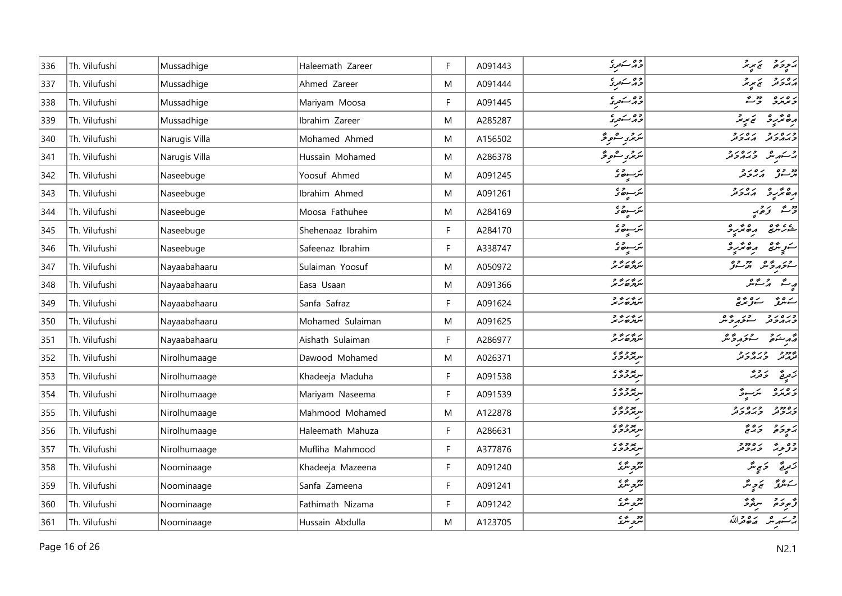| 336 | Th. Vilufushi | Mussadhige    | Haleemath Zareer  | F  | A091443 | و ه سه در <sup>ه</sup>                        |                                                         |
|-----|---------------|---------------|-------------------|----|---------|-----------------------------------------------|---------------------------------------------------------|
| 337 | Th. Vilufushi | Mussadhige    | Ahmed Zareer      | M  | A091444 | و ه د کستور <sup>ه</sup>                      | أرور و سي مريز                                          |
| 338 | Th. Vilufushi | Mussadhige    | Mariyam Moosa     | F. | A091445 | و هر سکوری<br>حراه سکوری                      | دو مح<br>ر ه ر ه<br>د بربرگ                             |
| 339 | Th. Vilufushi | Mussadhige    | Ibrahim Zareer    | M  | A285287 | و و په کوري<br>حرار کوري                      | رەپزىر تمېرىز                                           |
| 340 | Th. Vilufushi | Narugis Villa | Mohamed Ahmed     | M  | A156502 | <br>  سر <i>پرې سفو</i> څر                    | כנסנכ נסנכ<br>כגמכ <mark>ט מ</mark> גכ <mark>ט</mark>   |
| 341 | Th. Vilufushi | Narugis Villa | Hussain Mohamed   | M  | A286378 | ىئەتترى <sub>ر</sub> سىھوقە                   | 21017 012                                               |
| 342 | Th. Vilufushi | Naseebuge     | Yoosuf Ahmed      | M  | A091245 | نگرسو <i>ه د</i>                              | מ כם גם גב<br>ת'—נצ' ג'גבע                              |
| 343 | Th. Vilufushi | Naseebuge     | Ibrahim Ahmed     | M  | A091261 | پر سوچ<br>سر                                  | وه نورو درود                                            |
| 344 | Th. Vilufushi | Naseebuge     | Moosa Fathuhee    | M  | A284169 | پر سوچ د<br>په سوچ                            | أوقت وكالحمير                                           |
| 345 | Th. Vilufushi | Naseebuge     | Shehenaaz Ibrahim | F  | A284170 | نگرسو <i>ه د</i>                              |                                                         |
| 346 | Th. Vilufushi | Naseebuge     | Safeenaz Ibrahim  | F. | A338747 | پر<br>سرسوی                                   | سُوپەت مەھترىرد                                         |
| 347 | Th. Vilufushi | Nayaabahaaru  | Sulaiman Yoosuf   | M  | A050972 | ر در د و<br>سرگرفت تر                         | لتؤرخ مرتبو                                             |
| 348 | Th. Vilufushi | Nayaabahaaru  | Easa Usaan        | M  | A091366 | ر پر دیگر<br>سر <del>د</del> ره رنجر          | أمي شتم مائي مشتر                                       |
| 349 | Th. Vilufushi | Nayaabahaaru  | Sanfa Safraz      | F  | A091624 | ر در د د<br>سرگرفت تر                         | سەھەر بەر بەرە                                          |
| 350 | Th. Vilufushi | Nayaabahaaru  | Mohamed Sulaiman  | M  | A091625 | ر پر دی <sub> چ</sub>                         | ورەرو ھۆرۈش                                             |
| 351 | Th. Vilufushi | Nayaabahaaru  | Aishath Sulaiman  | F  | A286977 | ر در د و<br>سرگرفت تر                         | ە ئەستىم سىۋەرگىر                                       |
| 352 | Th. Vilufushi | Nirolhumaage  | Dawood Mohamed    | M  | A026371 | بر و و د ،<br>سربولو و د                      | و ره ر د<br>تر پروتر<br>پر دو و<br>تورد تو              |
| 353 | Th. Vilufushi | Nirolhumaage  | Khadeeja Maduha   | F  | A091538 | بر بر و د د<br>سرپرتر و د                     | ترموقح<br>ىردىر                                         |
| 354 | Th. Vilufushi | Nirolhumaage  | Mariyam Naseema   | F. | A091539 | گر پر دی.<br>مربر رو د                        | ويواده الكرسوش                                          |
| 355 | Th. Vilufushi | Nirolhumaage  | Mahmood Mohamed   | M  | A122878 | البربيودي                                     | و ر ه ر و<br><i>د ب</i> رگرفر<br>ر ه دد د<br>تربر تر تر |
| 356 | Th. Vilufushi | Nirolhumaage  | Haleemath Mahuza  | F  | A286631 | ا پر د و و ء<br>مرمز ر د د                    | أيجرزه روء                                              |
| 357 | Th. Vilufushi | Nirolhumaage  | Mufliha Mahmood   | F  | A377876 | ببرودي                                        | ر ه دو و<br>تر بر تر تر<br>ووجبة                        |
| 358 | Th. Vilufushi | Noominaage    | Khadeeja Mazeena  | F  | A091240 | چ <sub>رم</sub> و پژ <sub>ی</sub>             | زَمِرِيَّ = دَىپِ مَّر                                  |
| 359 | Th. Vilufushi | Noominaage    | Sanfa Zameena     | F  | A091241 | دو په په<br>مر <sub>حو</sub> مر <sub>حم</sub> | سەھەتە<br>ئج جر مُتَر                                   |
| 360 | Th. Vilufushi | Noominaage    | Fathimath Nizama  | F  | A091242 | يز <sub>تر شر</sub> ي                         | سرچُر<br>ۇ بوزىر                                        |
| 361 | Th. Vilufushi | Noominaage    | Hussain Abdulla   | M  | A123705 | چ <sub>رم</sub> و پژ <sub>ی</sub>             | جر محدث وكافية                                          |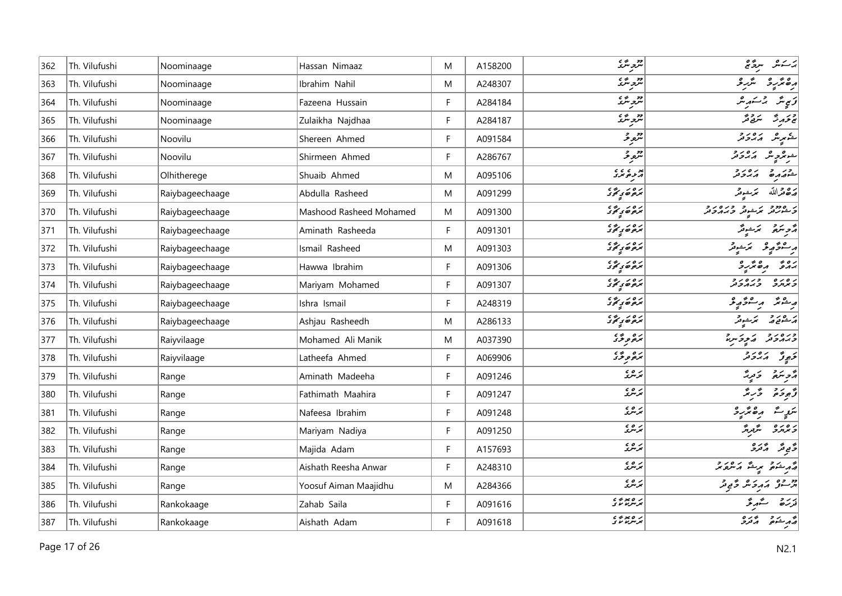| 362 | Th. Vilufushi | Noominaage      | Hassan Nimaaz           | M  | A158200 | دو<br>متر <sub>حر</sub> مترند             | ىر سەشرە سرچ چ                                                                                                                                                                                                                   |
|-----|---------------|-----------------|-------------------------|----|---------|-------------------------------------------|----------------------------------------------------------------------------------------------------------------------------------------------------------------------------------------------------------------------------------|
| 363 | Th. Vilufushi | Noominaage      | Ibrahim Nahil           | Μ  | A248307 | يژ <sub>حر شر</sub> ي                     | ىتزىر قر<br>ەرھ ئ <sup>ۆ</sup> ر ۋ                                                                                                                                                                                               |
| 364 | Th. Vilufushi | Noominaage      | Fazeena Hussain         | F  | A284184 | يز <sub>تر شر</sub> ي                     | تۇيپەنتىر كىمىسكىرىش                                                                                                                                                                                                             |
| 365 | Th. Vilufushi | Noominaage      | Zulaikha Najdhaa        | F  | A284187 | چر <sub>م</sub> پر پر                     | چ ئۇ م <sup>ەش</sup> ر<br>ىر 3 تۈگە<br>سىرى قىر                                                                                                                                                                                  |
| 366 | Th. Vilufushi | Noovilu         | Shereen Ahmed           | F  | A091584 | يتر <sub>عر</sub> تحر                     | څومړيز کامرونر                                                                                                                                                                                                                   |
| 367 | Th. Vilufushi | Noovilu         | Shirmeen Ahmed          | F. | A286767 | يتر <sub>عر</sub> تر                      | جوړې پرور                                                                                                                                                                                                                        |
| 368 | Th. Vilufushi | Olhitherege     | Shuaib Ahmed            | Μ  | A095106 | پر دے دے<br>مرکزہ مر <sub>ک</sub>         |                                                                                                                                                                                                                                  |
| 369 | Th. Vilufushi | Raiybageechaage | Abdulla Rasheed         | M  | A091299 | بره در په دره کالن<br>مرکو که در          | رە قراللە كەنجىد                                                                                                                                                                                                                 |
| 370 | Th. Vilufushi | Raiybageechaage | Mashood Rasheed Mohamed | M  | A091300 | پره و په په په                            | ر ۶۶۵ - برخون و د ۶ د و.<br>و څونړنو امريکونو او برابراونو                                                                                                                                                                       |
| 371 | Th. Vilufushi | Raiybageechaage | Aminath Rasheeda        | F  | A091301 | ره د دره در در کار د بالا                 | أذكر سكرة المستكر المحمد                                                                                                                                                                                                         |
| 372 | Th. Vilufushi | Raiybageechaage | Ismail Rasheed          | M  | A091303 | ره د در پر<br>مره ه <sub>کم</sub> نو      | رەئەر ئىسمى                                                                                                                                                                                                                      |
| 373 | Th. Vilufushi | Raiybageechaage | Hawwa Ibrahim           | F  | A091306 | ره د په ده و<br>مره <i>ه د وگ</i> ر       | ر ہ ء<br>براد بح<br>برە ئۆرۈ                                                                                                                                                                                                     |
| 374 | Th. Vilufushi | Raiybageechaage | Mariyam Mohamed         | F  | A091307 | ر ە ر<br>بر <sub>گ</sub> ونە پەتمى        | و ره ر و<br>تر پر ژنر<br>ر ه بر ه<br><del>د</del> بربرگ                                                                                                                                                                          |
| 375 | Th. Vilufushi | Raiybageechaage | Ishra Ismail            | F  | A248319 | بره در پر در در بالا<br>مرکو ته کار د     | ر شرند پر سو در در                                                                                                                                                                                                               |
| 376 | Th. Vilufushi | Raiybageechaage | Ashjau Rasheedh         | M  | A286133 | بره د په ده د<br>پرهونه <sub>د ک</sub> وک | كالمشوق كالمحاضر                                                                                                                                                                                                                 |
| 377 | Th. Vilufushi | Raiyvilaage     | Mohamed Ali Manik       | M  | A037390 | ره<br>بر <sub>حو</sub> موگر <sub>ی</sub>  | כמחכת היכליטי                                                                                                                                                                                                                    |
| 378 | Th. Vilufushi | Raiyvilaage     | Latheefa Ahmed          | F. | A069906 | ره<br>بره و ژی                            | نزېږ تر<br>م<br>پرور و                                                                                                                                                                                                           |
| 379 | Th. Vilufushi | Range           | Aminath Madeeha         | F  | A091246 | ىر ە ي<br>ئىرىشرى                         | أأدح المتحفية المحتفية                                                                                                                                                                                                           |
| 380 | Th. Vilufushi | Range           | Fathimath Maahira       | F  | A091247 | ىر ە ي                                    | وٌ ريَرُ<br>ۇ بو ئەم                                                                                                                                                                                                             |
| 381 | Th. Vilufushi | Range           | Nafeesa Ibrahim         | F  | A091248 | ىر ە ي                                    | ايئوچ<br>ىر ھەترىر <i>ۋ</i>                                                                                                                                                                                                      |
| 382 | Th. Vilufushi | Range           | Mariyam Nadiya          | F  | A091250 | ر ہ<br>برسر                               | ر ه ر ه<br><del>و</del> بربرو<br>سرٌورگر                                                                                                                                                                                         |
| 383 | Th. Vilufushi | Range           | Majida Adam             | F  | A157693 | ر ہ<br>برسر                               | ەرگەر<br>  تَرْمِ تَرَّ                                                                                                                                                                                                          |
| 384 | Th. Vilufushi | Range           | Aishath Reesha Anwar    | F  | A248310 | برەء                                      | و المسلم المستقبل المستور المستقبل المستقبل المستقبل المستقبل المستقبل المستقبل المستقبل المستقبل المستقبل الم<br>المستقبل المستقبل المستقبل المستقبل المستقبل المستقبل المستقبل المستقبل المستقبل المستقبل المستقبل المستقبل ال |
| 385 | Th. Vilufushi | Range           | Yoosuf Aiman Maajidhu   | M  | A284366 | ر ه ،<br>برسر                             | מ-כם ג'קב"ק <i>בֿי</i> צַיק                                                                                                                                                                                                      |
| 386 | Th. Vilufushi | Rankokaage      | Zahab Saila             | F  | A091616 | ر ەيدىر<br>بىرس ما ي                      | رىر ھەرىخ<br>فرىرى سىمبرىخ                                                                                                                                                                                                       |
| 387 | Th. Vilufushi | Rankokaage      | Aishath Adam            | F  | A091618 | ر ٥ پر <i>٤ ي</i><br>برس <i>٧ ي</i> ر     | وكرم شكوم وكروم                                                                                                                                                                                                                  |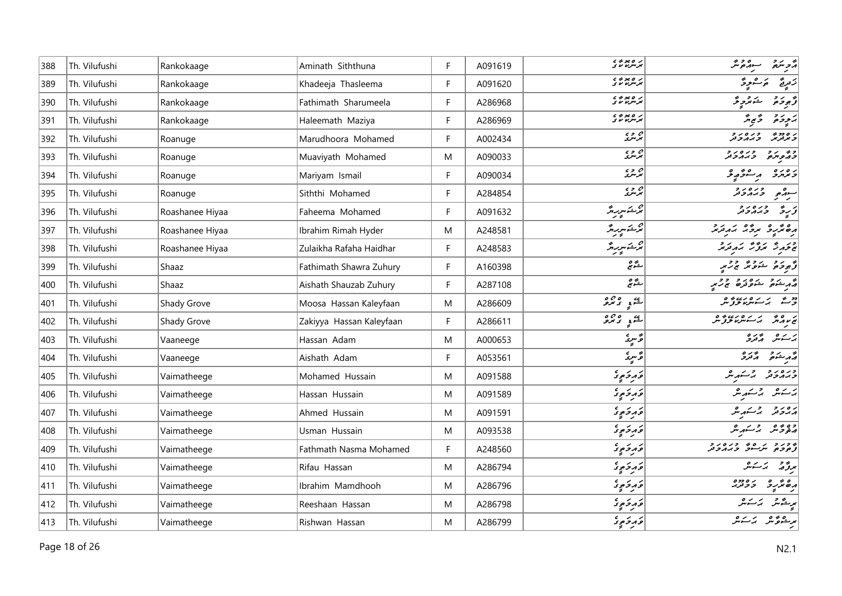| 388 | Th. Vilufushi | Rankokaage      | Aminath Siththuna        | F           | A091619 | ر ٥ پر <u>دی</u><br>بر سربر رک                                                   | سەدەبىر<br>أأروسكم                                      |
|-----|---------------|-----------------|--------------------------|-------------|---------|----------------------------------------------------------------------------------|---------------------------------------------------------|
| 389 | Th. Vilufushi | Rankokaage      | Khadeeja Thasleema       | F           | A091620 | ر ه پر د »<br>برس را ر                                                           | ر<br>نرورچ<br>م<br>ىر شوپە ۋ                            |
| 390 | Th. Vilufushi | Rankokaage      | Fathimath Sharumeela     | $\mathsf F$ | A286968 | ر ٥ پر <i>٤ ي</i><br>برس <i>٧ ي</i> ر                                            | ۇ بور د<br>لمشترد قر                                    |
| 391 | Th. Vilufushi | Rankokaage      | Haleemath Maziya         | F           | A286969 | ر ٥ پر د ٠<br>برس ر                                                              | برَجِرة و                                               |
| 392 | Th. Vilufushi | Roanuge         | Marudhoora Mohamed       | F           | A002434 | ہ و ،<br>برسر                                                                    | ر ه دد و.<br>تر مرد مر<br>و ر ه ر و<br><i>و پر</i> و تر |
| 393 | Th. Vilufushi | Roanuge         | Muaviyath Mohamed        | M           | A090033 | ہ و ،<br>برسر                                                                    | و ر ه ر د<br>تر پروتو<br>وړځ درو                        |
| 394 | Th. Vilufushi | Roanuge         | Mariyam Ismail           | F           | A090034 | م و ،<br>برس                                                                     | ر ه بر ه<br><del>د</del> بربرگر<br>بەستەۋە              |
| 395 | Th. Vilufushi | Roanuge         | Siththi Mohamed          | $\mathsf F$ | A284854 | م و ،<br>برس                                                                     |                                                         |
| 396 | Th. Vilufushi | Roashanee Hiyaa | Faheema Mohamed          | E           | A091632 | ىرىشەس <i>رى</i> رى <i>گە</i>                                                    | ۇ رِگَ<br>و پر و پر و<br><i>د ټ</i> رگر تر              |
| 397 | Th. Vilufushi | Roashanee Hiyaa | Ibrahim Rimah Hyder      | M           | A248581 | ى<br>ئىرىشەمىرىەد                                                                | رەتمرۇ برۇز ئەرترىز                                     |
| 398 | Th. Vilufushi | Roashanee Hiyaa | Zulaikha Rafaha Haidhar  | F           | A248583 | چرىنە <sub>سورىد</sub> ىگە<br>ئى                                                 | ى ئەر ئەسىر ئەر ئەر ئەر                                 |
| 399 | Th. Vilufushi | Shaaz           | Fathimath Shawra Zuhury  | F           | A160398 | شەم                                                                              | توجوحو شووش بردس                                        |
| 400 | Th. Vilufushi | Shaaz           | Aishath Shauzab Zuhury   | F           | A287108 | ىشىم                                                                             | مەر شەھ شەھ نوم بىرىم                                   |
| 401 | Th. Vilufushi | Shady Grove     | Moosa Hassan Kaleyfaan   | M           | A286609 | $\begin{bmatrix} 0 & 0 & 0 \\ 0 & 0 & 0 \\ 0 & 0 & 0 \\ 0 & 0 & 0 \end{bmatrix}$ | دور در ده در ده و م                                     |
| 402 | Th. Vilufushi | Shady Grove     | Zakiyya Hassan Kaleyfaan | F           | A286611 | $0000$<br>$0000$                                                                 | ئے مارچ کے سکس مرکز میں                                 |
| 403 | Th. Vilufushi | Vaaneege        | Hassan Adam              | M           | A000653 | ۇ <sub>سې</sub> رى<br>مۇ                                                         | يرك مداره                                               |
| 404 | Th. Vilufushi | Vaaneege        | Aishath Adam             | F           | A053561 | ۇس <sub>ى</sub><br>ق                                                             | وكرمشكم وكرو                                            |
| 405 | Th. Vilufushi | Vaimatheege     | Mohamed Hussain          | M           | A091588 | ۇ مەخ م <sub>ۇ</sub> ئ                                                           | ورەرو ورىم                                              |
| 406 | Th. Vilufushi | Vaimatheege     | Hassan Hussain           | M           | A091589 | ئەر ئەم<br>ئ                                                                     | ىرىكىش برگىتملىش                                        |
| 407 | Th. Vilufushi | Vaimatheege     | Ahmed Hussain            | M           | A091591 | ئەر ئەم <sub>ۇ</sub> ئ                                                           | رەرو جەسىمەش                                            |
| 408 | Th. Vilufushi | Vaimatheege     | Usman Hussain            | M           | A093538 | ر<br>ء آر د مو د                                                                 | وەم ئاسىر                                               |
| 409 | Th. Vilufushi | Vaimatheege     | Fathmath Nasma Mohamed   | F           | A248560 | ر<br>وګړ د ځو د                                                                  | ه در د عرب و دره د د<br>زوده سرگور و پرمرونر            |
| 410 | Th. Vilufushi | Vaimatheege     | Rifau Hassan             | M           | A286794 | ر<br>ء د د مو د                                                                  | برۇچ بەسكىل                                             |
| 411 | Th. Vilufushi | Vaimatheege     | Ibrahim Mamdhooh         | M           | A286796 |                                                                                  | وه ندره دره ده.                                         |
| 412 | Th. Vilufushi | Vaimatheege     | Reeshaan Hassan          | M           | A286798 | ئەر ئەم <sub>ۇ</sub> ئ                                                           | برنقش كالكش                                             |
| 413 | Th. Vilufushi | Vaimatheege     | Rishwan Hassan           | M           | A286799 | ۇر دۇ <sub>مۇ</sub> ئ                                                            | ىرىشۇقى كەسكىل                                          |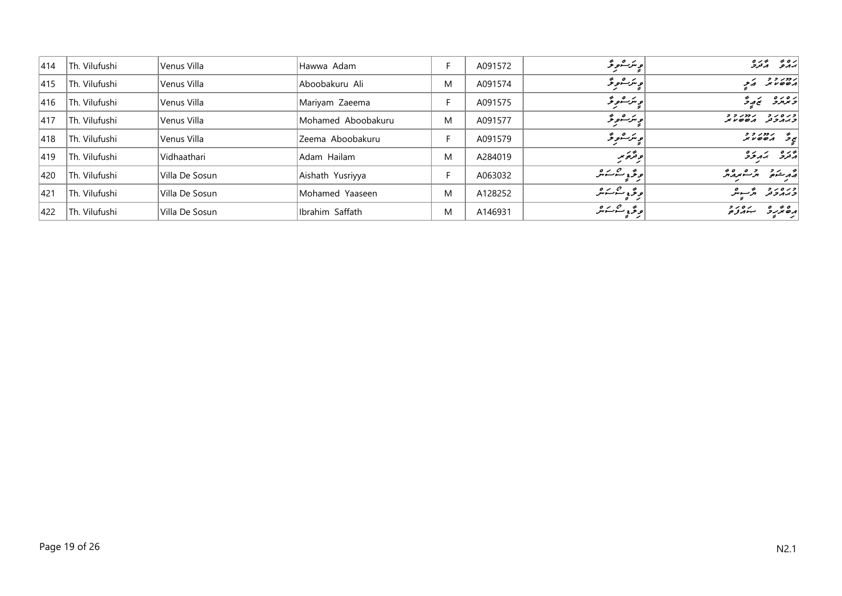| 414 | lTh. Vilufushi | Venus Villa    | Hawwa Adam         |   | A091572 | ءِ سَرَسْهُ ء مَّرَ                   | ره و<br>پور ہ<br>پر تر ژ                                                                                                                                                                                                                                                                                                    |
|-----|----------------|----------------|--------------------|---|---------|---------------------------------------|-----------------------------------------------------------------------------------------------------------------------------------------------------------------------------------------------------------------------------------------------------------------------------------------------------------------------------|
| 415 | Th. Vilufushi  | Venus Villa    | Aboobakuru Ali     | M | A091574 | ءِ سَرَسْهُ ء مَّرَ                   | 77/77/7                                                                                                                                                                                                                                                                                                                     |
| 416 | Th. Vilufushi  | Venus Villa    | Mariyam Zaeema     |   | A091575 | ءِ سَرَسْهُ ء مَّرَ                   | پر ه پر ه<br>سم جر حر                                                                                                                                                                                                                                                                                                       |
| 417 | Th. Vilufushi  | Venus Villa    | Mohamed Aboobakuru | M | A091577 | ءِ سَرَسْهُ ء مَّرَ                   | כנסני נמניכי                                                                                                                                                                                                                                                                                                                |
| 418 | Th. Vilufushi  | Venus Villa    | Zeema Aboobakuru   |   | A091579 | ءِ سَرَڪُء مَرَّ                      | אָל נמשטא                                                                                                                                                                                                                                                                                                                   |
| 419 | lTh. Vilufushi | Vidhaathari    | Adam Hailam        | M | A284019 | و ترځ پر                              | أثروه بركدوح                                                                                                                                                                                                                                                                                                                |
| 420 | Th. Vilufushi  | Villa De Sosun | Aishath Yusriyya   |   | A063032 | <sub>جې</sub> مځه مشکس <sup>م</sup> ر | $\begin{pmatrix} 0 & 0 & 0 & 0 & 0 \\ 0 & 0 & 0 & 0 & 0 \\ 0 & 0 & 0 & 0 & 0 \\ 0 & 0 & 0 & 0 & 0 \\ 0 & 0 & 0 & 0 & 0 \\ 0 & 0 & 0 & 0 & 0 \\ 0 & 0 & 0 & 0 & 0 \\ 0 & 0 & 0 & 0 & 0 \\ 0 & 0 & 0 & 0 & 0 \\ 0 & 0 & 0 & 0 & 0 \\ 0 & 0 & 0 & 0 & 0 \\ 0 & 0 & 0 & 0 & 0 & 0 \\ 0 & 0 & 0 & 0 & 0 & 0 \\ 0 & 0 & 0 & 0 & $ |
| 421 | lTh. Vilufushi | Villa De Sosun | Mohamed Yaaseen    | M | A128252 | <sub>عر</sub> مح ۽ سڪسر               | ورەرو پۇسىر                                                                                                                                                                                                                                                                                                                 |
| 422 | Th. Vilufushi  | Villa De Sosun | Ibrahim Saffath    | M | A146931 | <i>و دگه يه شه ش</i> کر               | $\circ$ $\circ$ $\circ$<br>سەدىرە<br>フンメめハ                                                                                                                                                                                                                                                                                  |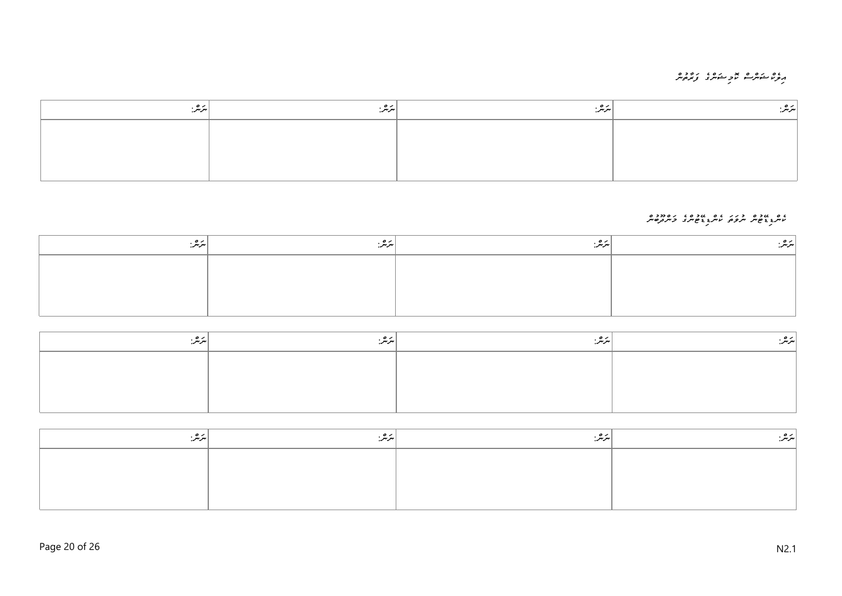## *w7qAn8m? sCw7mRo>u; wEw7mRw;sBo<*

| ' مرمر | 'يئرىثر: |
|--------|----------|
|        |          |
|        |          |
|        |          |

## *w7q9r@w7m> sCw7qHtFoFw7s; mAm=q7 w7qHtFoFw7s;*

| يئرمىش: | $^{\circ}$<br>. سر سر<br>$\cdot$ | $\circ$ $\sim$<br>-- | يئرمثر |
|---------|----------------------------------|----------------------|--------|
|         |                                  |                      |        |
|         |                                  |                      |        |
|         |                                  |                      |        |

| انترنثر: | $^{\circ}$ | يبرهر | $^{\circ}$<br>سرسر |
|----------|------------|-------|--------------------|
|          |            |       |                    |
|          |            |       |                    |
|          |            |       |                    |

| ىرتىر: | 。<br>سر سر | .,<br>مرسر |
|--------|------------|------------|
|        |            |            |
|        |            |            |
|        |            |            |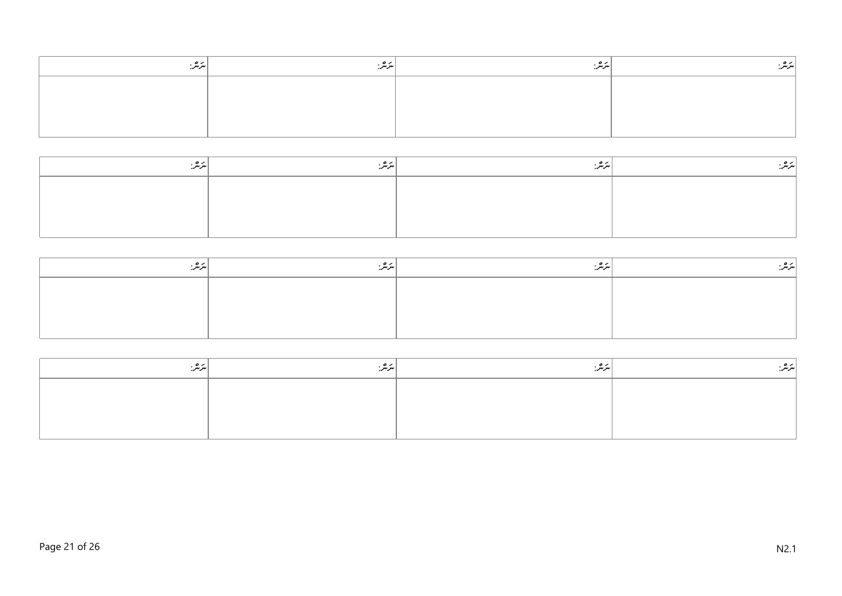| يره. | ο. | ا ير ه |  |
|------|----|--------|--|
|      |    |        |  |
|      |    |        |  |
|      |    |        |  |

| <sup>.</sup> سرسر. |  |
|--------------------|--|
|                    |  |
|                    |  |
|                    |  |

| ىئرىتر. | $\sim$ | ا بر هه. | لىرىش |
|---------|--------|----------|-------|
|         |        |          |       |
|         |        |          |       |
|         |        |          |       |

| 。<br>مرس. | $\overline{\phantom{a}}$<br>مر مىر | ىرىر |
|-----------|------------------------------------|------|
|           |                                    |      |
|           |                                    |      |
|           |                                    |      |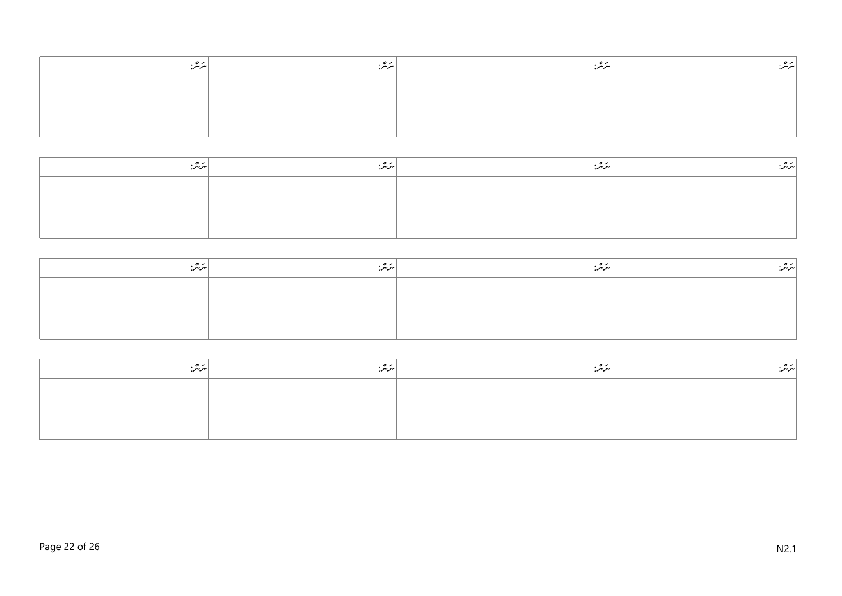| ير هو . | $\overline{\phantom{a}}$ | يرمر | اير هنه. |
|---------|--------------------------|------|----------|
|         |                          |      |          |
|         |                          |      |          |
|         |                          |      |          |

| ئىرتىر: | $\sim$<br>ا سرسر . | يئرمثر | o . |
|---------|--------------------|--------|-----|
|         |                    |        |     |
|         |                    |        |     |
|         |                    |        |     |

| 'تترنثر: | ر ه |  |
|----------|-----|--|
|          |     |  |
|          |     |  |
|          |     |  |

|  | . ه |
|--|-----|
|  |     |
|  |     |
|  |     |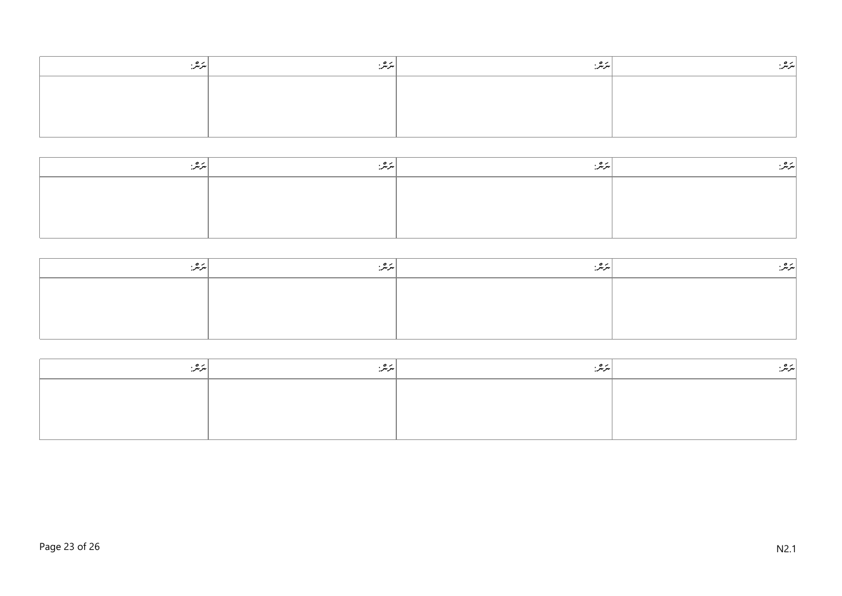| ير هو . | $\overline{\phantom{a}}$ | يرمر | اير هنه. |
|---------|--------------------------|------|----------|
|         |                          |      |          |
|         |                          |      |          |
|         |                          |      |          |

| ئىرتىر: | $\sim$<br>ا سرسر . | يئرمثر | o . |
|---------|--------------------|--------|-----|
|         |                    |        |     |
|         |                    |        |     |
|         |                    |        |     |

| الترنثر: | ' مرتكز: | الترنثر: | .,<br>سرسر. |
|----------|----------|----------|-------------|
|          |          |          |             |
|          |          |          |             |
|          |          |          |             |

|  | . ه |
|--|-----|
|  |     |
|  |     |
|  |     |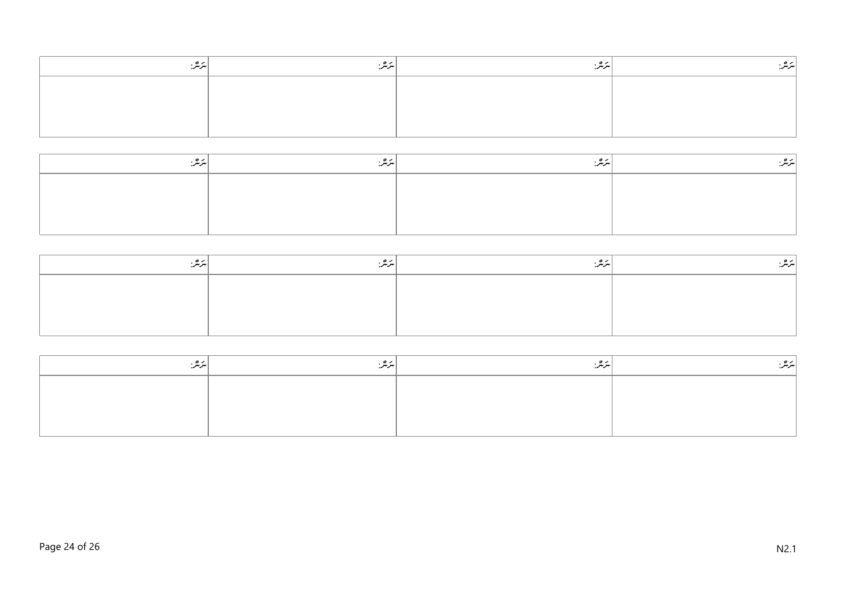| $\cdot$ | 。 | $\frac{\circ}{\cdot}$ | $\sim$<br>سرسر |
|---------|---|-----------------------|----------------|
|         |   |                       |                |
|         |   |                       |                |
|         |   |                       |                |

| يريثن | ' سرسر . |  |
|-------|----------|--|
|       |          |  |
|       |          |  |
|       |          |  |

| بر ه | . ه | $\sim$<br>سرسر |  |
|------|-----|----------------|--|
|      |     |                |  |
|      |     |                |  |
|      |     |                |  |

| 。<br>. س | ىرىىر |  |
|----------|-------|--|
|          |       |  |
|          |       |  |
|          |       |  |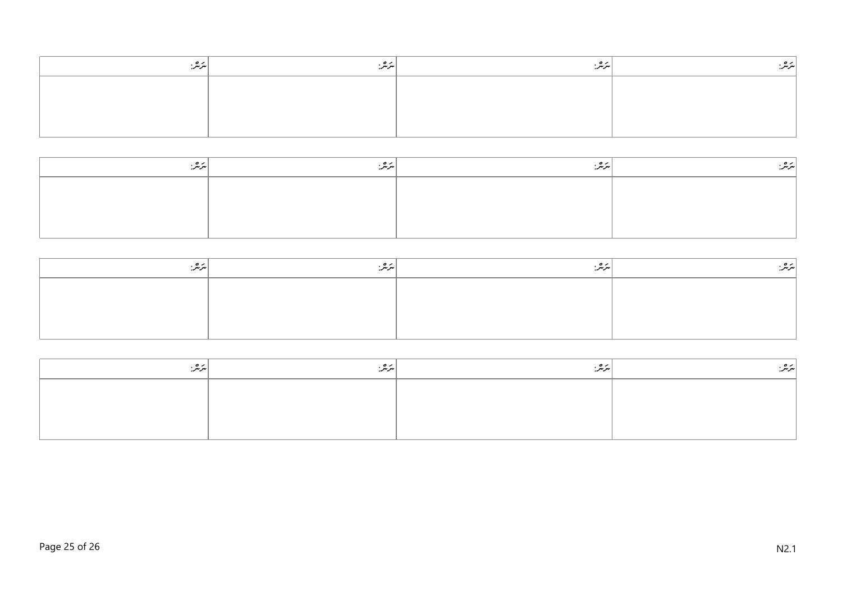| ير هو . | $\overline{\phantom{a}}$ | يرمر | اير هنه. |
|---------|--------------------------|------|----------|
|         |                          |      |          |
|         |                          |      |          |
|         |                          |      |          |

| ئىرتىر: | $\sim$<br>ا سرسر . | يئرمثر | o . |
|---------|--------------------|--------|-----|
|         |                    |        |     |
|         |                    |        |     |
|         |                    |        |     |

| انترنثر: | ر ه |  |
|----------|-----|--|
|          |     |  |
|          |     |  |
|          |     |  |

|  | . ه |
|--|-----|
|  |     |
|  |     |
|  |     |